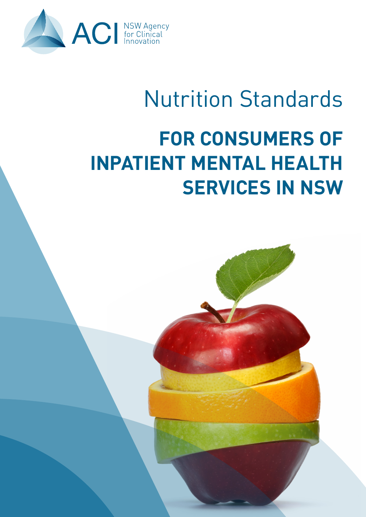

# Nutrition Standards **FOR CONSUMERS OF INPATIENT MENTAL HEALTH SERVICES IN NSW**

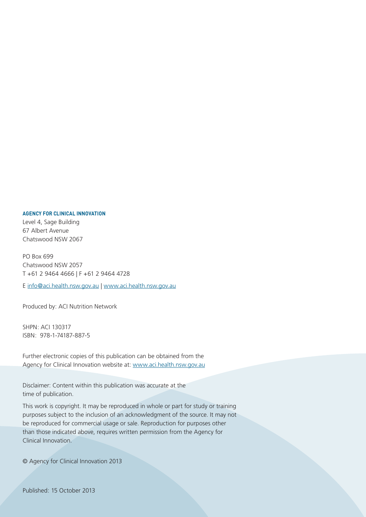#### **AGENCY FOR CLINICAL INNOVATION**

Level 4, Sage Building 67 Albert Avenue Chatswood NSW 2067

PO Box 699 Chatswood NSW 2057 T +61 2 9464 4666 | F +61 2 9464 4728

E info@aci.health.nsw.gov.au | www.aci.health.nsw.gov.au

Produced by: ACI Nutrition Network

SHPN: ACI 130317 ISBN: 978-1-74187-887-5

Further electronic copies of this publication can be obtained from the Agency for Clinical Innovation website at: www.aci.health.nsw.gov.au

Disclaimer: Content within this publication was accurate at the time of publication.

This work is copyright. It may be reproduced in whole or part for study or training purposes subject to the inclusion of an acknowledgment of the source. It may not be reproduced for commercial usage or sale. Reproduction for purposes other than those indicated above, requires written permission from the Agency for Clinical Innovation.

© Agency for Clinical Innovation 2013

Published: 15 October 2013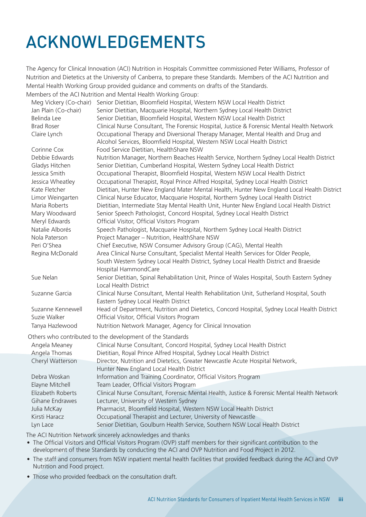## ACKNOWLEDGEMENTS

The Agency for Clinical Innovation (ACI) Nutrition in Hospitals Committee commissioned Peter Williams, Professor of Nutrition and Dietetics at the University of Canberra, to prepare these Standards. Members of the ACI Nutrition and Mental Health Working Group provided guidance and comments on drafts of the Standards. Members of the ACI Nutrition and Mental Health Working Group:

Meg Vickery (Co-chair) Senior Dietitian, Bloomfield Hospital, Western NSW Local Health District Jan Plain (Co-chair) Senior Dietitian, Macquarie Hospital, Northern Sydney Local Health District Belinda Lee Senior Dietitian, Bloomfield Hospital, Western NSW Local Health District Brad Roser Clinical Nurse Consultant, The Forensic Hospital, Justice & Forensic Mental Health Network Claire Lynch Occupational Therapy and Diversional Therapy Manager, Mental Health and Drug and Alcohol Services, Bloomfield Hospital, Western NSW Local Health District Corinne Cox Food Service Dietitian, HealthShare NSW Debbie Edwards Nutrition Manager, Northern Beaches Health Service, Northern Sydney Local Health District Gladys Hitchen Senior Dietitian, Cumberland Hospital, Western Sydney Local Health District Jessica Smith Occupational Therapist, Bloomfield Hospital, Western NSW Local Health District Jessica Wheatley Occupational Therapist, Royal Prince Alfred Hospital, Sydney Local Health District Kate Fletcher Dietitian, Hunter New England Mater Mental Health, Hunter New England Local Health District Limor Weingarten Clinical Nurse Educator, Macquarie Hospital, Northern Sydney Local Health District Maria Roberts Dietitian, Intermediate Stay Mental Health Unit, Hunter New England Local Health District Mary Woodward Senior Speech Pathologist, Concord Hospital, Sydney Local Health District Meryl Edwards Official Visitor, Official Visitors Program Natalie Alborés Speech Pathologist, Macquarie Hospital, Northern Sydney Local Health District Nola Paterson Project Manager – Nutrition, HealthShare NSW Peri O'Shea Chief Executive, NSW Consumer Advisory Group (CAG), Mental Health Regina McDonald Area Clinical Nurse Consultant, Specialist Mental Health Services for Older People, South Western Sydney Local Health District, Sydney Local Health District and Braeside Hospital HammondCare Sue Nelan Senior Dietitian, Spinal Rehabilitation Unit, Prince of Wales Hospital, South Eastern Sydney Local Health District Suzanne Garcia Clinical Nurse Consultant, Mental Health Rehabilitation Unit, Sutherland Hospital, South Eastern Sydney Local Health District Suzanne Kennewell Head of Department, Nutrition and Dietetics, Concord Hospital, Sydney Local Health District Suzie Walker Official Visitor, Official Visitors Program Tanya Hazlewood Nutrition Network Manager, Agency for Clinical Innovation Others who contributed to the development of the Standards Angela Meaney Clinical Nurse Consultant, Concord Hospital, Sydney Local Health District

| Angela Thomas     | Dietitian, Royal Prince Alfred Hospital, Sydney Local Health District                       |
|-------------------|---------------------------------------------------------------------------------------------|
| Cheryl Watterson  | Director, Nutrition and Dietetics, Greater Newcastle Acute Hospital Network,                |
|                   | Hunter New England Local Health District                                                    |
| Debra Woskan      | Information and Training Coordinator, Official Visitors Program                             |
| Elayne Mitchell   | Team Leader, Official Visitors Program                                                      |
| Elizabeth Roberts | Clinical Nurse Consultant, Forensic Mental Health, Justice & Forensic Mental Health Network |
| Gihane Endrawes   | Lecturer, University of Western Sydney                                                      |
| Julia McKay       | Pharmacist, Bloomfield Hospital, Western NSW Local Health District                          |
| Kirsti Haracz     | Occupational Therapist and Lecturer, University of Newcastle                                |
| Lyn Lace          | Senior Dietitian, Goulburn Health Service, Southern NSW Local Health District               |

The ACI Nutrition Network sincerely acknowledges and thanks

• The Official Visitors and Official Visitors Program (OVP) staff members for their significant contribution to the development of these Standards by conducting the ACI and OVP Nutrition and Food Project in 2012.

- The staff and consumers from NSW inpatient mental health facilities that provided feedback during the ACI and OVP Nutrition and Food project.
- Those who provided feedback on the consultation draft.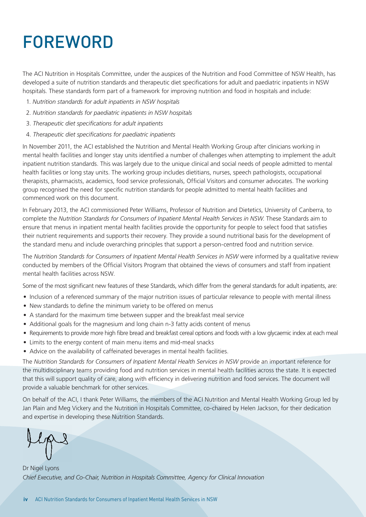## FOREWORD

The ACI Nutrition in Hospitals Committee, under the auspices of the Nutrition and Food Committee of NSW Health, has developed a suite of nutrition standards and therapeutic diet specifications for adult and paediatric inpatients in NSW hospitals. These standards form part of a framework for improving nutrition and food in hospitals and include:

- 1. *Nutrition standards for adult inpatients in NSW hospitals*
- 2. *Nutrition standards for paediatric inpatients in NSW hospitals*
- 3. *Therapeutic diet specifications for adult inpatients*
- 4. *Therapeutic diet specifications for paediatric inpatients*

In November 2011, the ACI established the Nutrition and Mental Health Working Group after clinicians working in mental health facilities and longer stay units identified a number of challenges when attempting to implement the adult inpatient nutrition standards. This was largely due to the unique clinical and social needs of people admitted to mental health facilities or long stay units. The working group includes dietitians, nurses, speech pathologists, occupational therapists, pharmacists, academics, food service professionals, Official Visitors and consumer advocates. The working group recognised the need for specific nutrition standards for people admitted to mental health facilities and commenced work on this document.

In February 2013, the ACI commissioned Peter Williams, Professor of Nutrition and Dietetics, University of Canberra, to complete the *Nutrition Standards for Consumers of Inpatient Mental Health Services in NSW*. These Standards aim to ensure that menus in inpatient mental health facilities provide the opportunity for people to select food that satisfies their nutrient requirements and supports their recovery. They provide a sound nutritional basis for the development of the standard menu and include overarching principles that support a person-centred food and nutrition service.

The *Nutrition Standards for Consumers of Inpatient Mental Health Services in NSW* were informed by a qualitative review conducted by members of the Official Visitors Program that obtained the views of consumers and staff from inpatient mental health facilities across NSW.

Some of the most significant new features of these Standards, which differ from the general standards for adult inpatients, are:

- Inclusion of a referenced summary of the major nutrition issues of particular relevance to people with mental illness
- New standards to define the minimum variety to be offered on menus
- A standard for the maximum time between supper and the breakfast meal service
- Additional goals for the magnesium and long chain n-3 fatty acids content of menus
- Requirements to provide more high fibre bread and breakfast cereal options and foods with a low glycaemic index at each meal
- Limits to the energy content of main menu items and mid-meal snacks
- Advice on the availability of caffeinated beverages in mental health facilities.

The *Nutrition Standards for Consumers of Inpatient Mental Health Services in NSW* provide an important reference for the multidisciplinary teams providing food and nutrition services in mental health facilities across the state. It is expected that this will support quality of care, along with efficiency in delivering nutrition and food services. The document will provide a valuable benchmark for other services.

On behalf of the ACI, I thank Peter Williams, the members of the ACI Nutrition and Mental Health Working Group led by Jan Plain and Meg Vickery and the Nutrition in Hospitals Committee, co-chaired by Helen Jackson, for their dedication and expertise in developing these Nutrition Standards.

Dr Nigel Lyons *Chief Executive, and Co-Chair, Nutrition in Hospitals Committee, Agency for Clinical Innovation*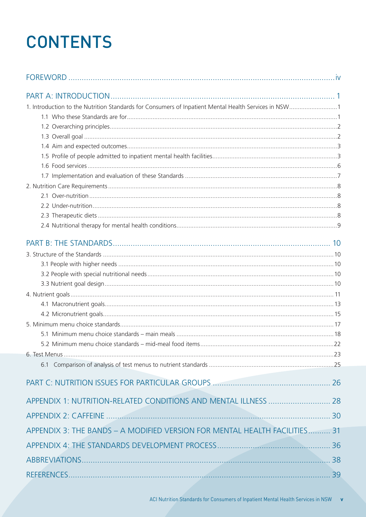## **CONTENTS**

| 1. Introduction to the Nutrition Standards for Consumers of Inpatient Mental Health Services in NSW1 |  |
|------------------------------------------------------------------------------------------------------|--|
|                                                                                                      |  |
|                                                                                                      |  |
|                                                                                                      |  |
|                                                                                                      |  |
|                                                                                                      |  |
|                                                                                                      |  |
|                                                                                                      |  |
|                                                                                                      |  |
|                                                                                                      |  |
|                                                                                                      |  |
|                                                                                                      |  |
|                                                                                                      |  |
|                                                                                                      |  |
|                                                                                                      |  |
|                                                                                                      |  |
|                                                                                                      |  |
|                                                                                                      |  |
|                                                                                                      |  |
|                                                                                                      |  |
|                                                                                                      |  |
|                                                                                                      |  |
|                                                                                                      |  |
|                                                                                                      |  |
|                                                                                                      |  |
|                                                                                                      |  |
|                                                                                                      |  |
| APPENDIX 1: NUTRITION-RELATED CONDITIONS AND MENTAL ILLNESS  28                                      |  |
|                                                                                                      |  |
| APPENDIX 3: THE BANDS - A MODIFIED VERSION FOR MENTAL HEALTH FACILITIES 31                           |  |
|                                                                                                      |  |
|                                                                                                      |  |
|                                                                                                      |  |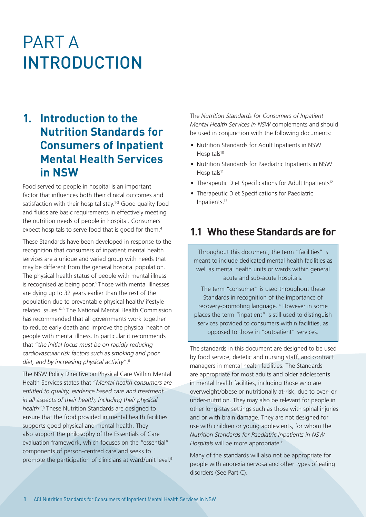## PART A INTRODUCTION

### **1. Introduction to the Nutrition Standards for Consumers of Inpatient Mental Health Services in NSW**

Food served to people in hospital is an important factor that influences both their clinical outcomes and satisfaction with their hospital stay.<sup>1-3</sup> Good quality food and fluids are basic requirements in effectively meeting the nutrition needs of people in hospital. Consumers expect hospitals to serve food that is good for them.<sup>4</sup>

These Standards have been developed in response to the recognition that consumers of inpatient mental health services are a unique and varied group with needs that may be different from the general hospital population. The physical health status of people with mental illness is recognised as being poor.<sup>5</sup> Those with mental illnesses are dying up to 32 years earlier than the rest of the population due to preventable physical health/lifestyle related issues.6-8 The National Mental Health Commission has recommended that all governments work together to reduce early death and improve the physical health of people with mental illness. In particular it recommends that "*the initial focus must be on rapidly reducing cardiovascular risk factors such as smoking and poor diet, and by increasing physical activity*".6

The NSW Policy Directive on Physical Care Within Mental Health Services states that "*Mental health consumers are entitled to quality, evidence based care and treatment in all aspects of their health, including their physical health*".5 These Nutrition Standards are designed to ensure that the food provided in mental health facilities supports good physical and mental health. They also support the philosophy of the Essentials of Care evaluation framework, which focuses on the "essential" components of person-centred care and seeks to promote the participation of clinicians at ward/unit level.<sup>9</sup> The *Nutrition Standards for Consumers of Inpatient Mental Health Services in NSW* complements and should be used in conjunction with the following documents:

- Nutrition Standards for Adult Inpatients in NSW Hospitals<sup>10</sup>
- Nutrition Standards for Paediatric Inpatients in NSW Hospitals<sup>11</sup>
- Therapeutic Diet Specifications for Adult Inpatients<sup>12</sup>
- Therapeutic Diet Specifications for Paediatric Inpatients.13

#### **1.1 Who these Standards are for**

Throughout this document, the term "facilities" is meant to include dedicated mental health facilities as well as mental health units or wards within general acute and sub-acute hospitals.

The term "consumer" is used throughout these Standards in recognition of the importance of recovery-promoting language.14 However in some places the term "inpatient" is still used to distinguish services provided to consumers within facilities, as opposed to those in "outpatient" services.

The standards in this document are designed to be used by food service, dietetic and nursing staff, and contract managers in mental health facilities. The Standards are appropriate for most adults and older adolescents in mental health facilities, including those who are overweight/obese or nutritionally at-risk, due to over- or under-nutrition. They may also be relevant for people in other long-stay settings such as those with spinal injuries and or with brain damage. They are not designed for use with children or young adolescents, for whom the *Nutrition Standards for Paediatric Inpatients in NSW Hospitals* will be more appropriate.<sup>11</sup>

Many of the standards will also not be appropriate for people with anorexia nervosa and other types of eating disorders (See Part C).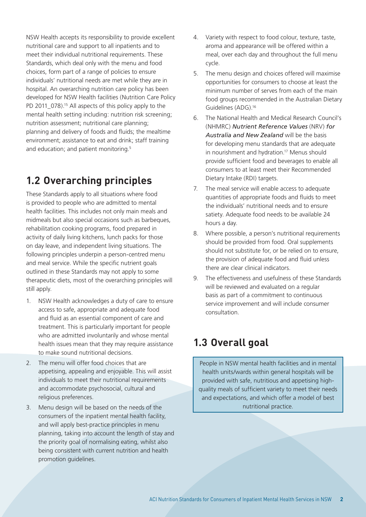NSW Health accepts its responsibility to provide excellent nutritional care and support to all inpatients and to meet their individual nutritional requirements. These Standards, which deal only with the menu and food choices, form part of a range of policies to ensure individuals' nutritional needs are met while they are in hospital. An overarching nutrition care policy has been developed for NSW Health facilities (Nutrition Care Policy PD 2011 078).<sup>15</sup> All aspects of this policy apply to the mental health setting including: nutrition risk screening; nutrition assessment; nutritional care planning; planning and delivery of foods and fluids; the mealtime environment; assistance to eat and drink; staff training and education; and patient monitoring.5

### **1.2 Overarching principles**

These Standards apply to all situations where food is provided to people who are admitted to mental health facilities. This includes not only main meals and midmeals but also special occasions such as barbeques, rehabilitation cooking programs, food prepared in activity of daily living kitchens, lunch packs for those on day leave, and independent living situations. The following principles underpin a person-centred menu and meal service. While the specific nutrient goals outlined in these Standards may not apply to some therapeutic diets, most of the overarching principles will still apply.

- 1. NSW Health acknowledges a duty of care to ensure access to safe, appropriate and adequate food and fluid as an essential component of care and treatment. This is particularly important for people who are admitted involuntarily and whose mental health issues mean that they may require assistance to make sound nutritional decisions.
- 2. The menu will offer food choices that are appetising, appealing and enjoyable. This will assist individuals to meet their nutritional requirements and accommodate psychosocial, cultural and religious preferences.
- 3. Menu design will be based on the needs of the consumers of the inpatient mental health facility, and will apply best-practice principles in menu planning, taking into account the length of stay and the priority goal of normalising eating, whilst also being consistent with current nutrition and health promotion guidelines.
- 4. Variety with respect to food colour, texture, taste, aroma and appearance will be offered within a meal, over each day and throughout the full menu cycle.
- 5. The menu design and choices offered will maximise opportunities for consumers to choose at least the minimum number of serves from each of the main food groups recommended in the Australian Dietary Guidelines (ADG).16
- 6. The National Health and Medical Research Council's (NHMRC) *Nutrient Reference Values* (NRV) *for Australia and New Zealand* will be the basis for developing menu standards that are adequate in nourishment and hydration.<sup>17</sup> Menus should provide sufficient food and beverages to enable all consumers to at least meet their Recommended Dietary Intake (RDI) targets.
- 7. The meal service will enable access to adequate quantities of appropriate foods and fluids to meet the individuals' nutritional needs and to ensure satiety. Adequate food needs to be available 24 hours a day.
- 8. Where possible, a person's nutritional requirements should be provided from food. Oral supplements should not substitute for, or be relied on to ensure, the provision of adequate food and fluid unless there are clear clinical indicators.
- 9. The effectiveness and usefulness of these Standards will be reviewed and evaluated on a regular basis as part of a commitment to continuous service improvement and will include consumer consultation.

## **1.3 Overall goal**

People in NSW mental health facilities and in mental health units/wards within general hospitals will be provided with safe, nutritious and appetising highquality meals of sufficient variety to meet their needs and expectations, and which offer a model of best nutritional practice.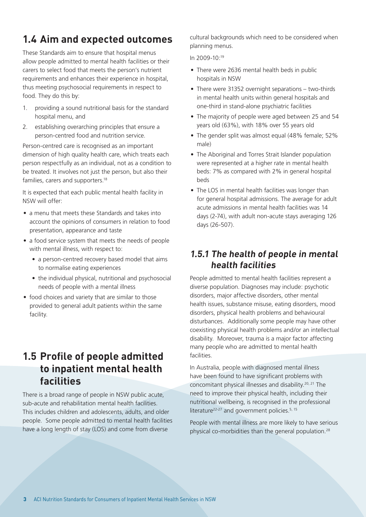### **1.4 Aim and expected outcomes**

These Standards aim to ensure that hospital menus allow people admitted to mental health facilities or their carers to select food that meets the person's nutrient requirements and enhances their experience in hospital, thus meeting psychosocial requirements in respect to food. They do this by:

- 1. providing a sound nutritional basis for the standard hospital menu, and
- 2. establishing overarching principles that ensure a person-centred food and nutrition service.

Person-centred care is recognised as an important dimension of high quality health care, which treats each person respectfully as an individual, not as a condition to be treated. It involves not just the person, but also their families, carers and supporters.<sup>18</sup>

It is expected that each public mental health facility in NSW will offer:

- a menu that meets these Standards and takes into account the opinions of consumers in relation to food presentation, appearance and taste
- a food service system that meets the needs of people with mental illness, with respect to:
	- a person-centred recovery based model that aims to normalise eating experiences
	- the individual physical, nutritional and psychosocial needs of people with a mental illness
- food choices and variety that are similar to those provided to general adult patients within the same facility.

#### **1.5 Profile of people admitted to inpatient mental health facilities**

There is a broad range of people in NSW public acute, sub-acute and rehabilitation mental health facilities. This includes children and adolescents, adults, and older people. Some people admitted to mental health facilities have a long length of stay (LOS) and come from diverse

cultural backgrounds which need to be considered when planning menus.

In 2009-10:19

- There were 2636 mental health beds in public hospitals in NSW
- There were 31352 overnight separations two-thirds in mental health units within general hospitals and one-third in stand-alone psychiatric facilities
- The majority of people were aged between 25 and 54 years old (63%), with 18% over 55 years old
- The gender split was almost equal (48% female; 52% male)
- The Aboriginal and Torres Strait Islander population were represented at a higher rate in mental health beds: 7% as compared with 2% in general hospital beds
- The LOS in mental health facilities was longer than for general hospital admissions. The average for adult acute admissions in mental health facilities was 14 days (2-74), with adult non-acute stays averaging 126 days (26-507).

#### **1.5.1 The health of people in mental health facilities**

People admitted to mental health facilities represent a diverse population. Diagnoses may include: psychotic disorders, major affective disorders, other mental health issues, substance misuse, eating disorders, mood disorders, physical health problems and behavioural disturbances. Additionally some people may have other coexisting physical health problems and/or an intellectual disability. Moreover, trauma is a major factor affecting many people who are admitted to mental health facilities.

In Australia, people with diagnosed mental illness have been found to have significant problems with concomitant physical illnesses and disability.20, 21 The need to improve their physical health, including their nutritional wellbeing, is recognised in the professional literature<sup>22-27</sup> and government policies.<sup>5, 15</sup>

People with mental illness are more likely to have serious physical co-morbidities than the general population.28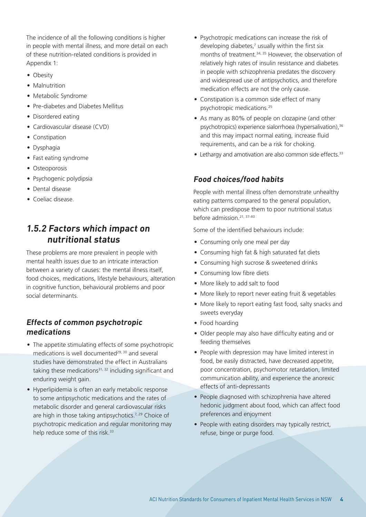The incidence of all the following conditions is higher in people with mental illness, and more detail on each of these nutrition-related conditions is provided in Appendix 1:

- Obesity
- Malnutrition
- Metabolic Syndrome
- Pre-diabetes and Diabetes Mellitus
- Disordered eating
- Cardiovascular disease (CVD)
- Constipation
- Dysphagia
- Fast eating syndrome
- Osteoporosis
- Psychogenic polydipsia
- Dental disease
- Coeliac disease.

#### **1.5.2 Factors which impact on nutritional status**

These problems are more prevalent in people with mental health issues due to an intricate interaction between a variety of causes: the mental illness itself, food choices, medications, lifestyle behaviours, alteration in cognitive function, behavioural problems and poor social determinants.

#### **Effects of common psychotropic medications**

- The appetite stimulating effects of some psychotropic medications is well documented $29,30$  and several studies have demonstrated the effect in Australians taking these medications $31, 32$  including significant and enduring weight gain.
- Hyperlipidemia is often an early metabolic response to some antipsychotic medications and the rates of metabolic disorder and general cardiovascular risks are high in those taking antipsychotics.<sup>7, 29</sup> Choice of psychotropic medication and regular monitoring may help reduce some of this risk.<sup>33</sup>
- Psychotropic medications can increase the risk of developing diabetes,<sup>7</sup> usually within the first six months of treatment.<sup>34, 35</sup> However, the observation of relatively high rates of insulin resistance and diabetes in people with schizophrenia predates the discovery and widespread use of antipsychotics, and therefore medication effects are not the only cause.
- Constipation is a common side effect of many psychotropic medications.25
- As many as 80% of people on clozapine (and other psychotropics) experience sialorrhoea (hypersalivation),<sup>36</sup> and this may impact normal eating, increase fluid requirements, and can be a risk for choking.
- Lethargy and amotivation are also common side effects.<sup>33</sup>

#### **Food choices/food habits**

People with mental illness often demonstrate unhealthy eating patterns compared to the general population, which can predispose them to poor nutritional status before admission.21, 37-40

Some of the identified behaviours include:

- Consuming only one meal per day
- Consuming high fat & high saturated fat diets
- Consuming high sucrose & sweetened drinks
- Consuming low fibre diets
- More likely to add salt to food
- More likely to report never eating fruit & vegetables
- More likely to report eating fast food, salty snacks and sweets everyday
- Food hoarding
- Older people may also have difficulty eating and or feeding themselves
- People with depression may have limited interest in food, be easily distracted, have decreased appetite, poor concentration, psychomotor retardation, limited communication ability, and experience the anorexic effects of anti-depressants
- People diagnosed with schizophrenia have altered hedonic judgment about food, which can affect food preferences and enjoyment
- People with eating disorders may typically restrict, refuse, binge or purge food.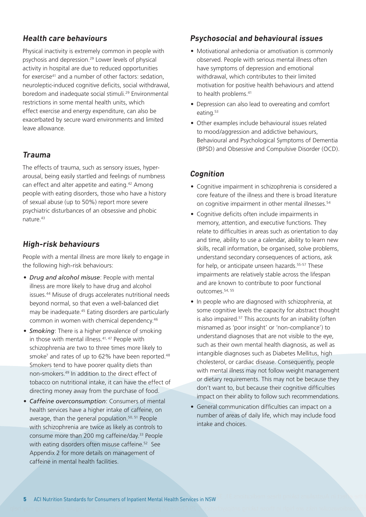#### **Health care behaviours**

Physical inactivity is extremely common in people with psychosis and depression.29 Lower levels of physical activity in hospital are due to reduced opportunities for exercise<sup>41</sup> and a number of other factors: sedation, neuroleptic-induced cognitive deficits, social withdrawal, boredom and inadequate social stimuli.<sup>29</sup> Environmental restrictions in some mental health units, which effect exercise and energy expenditure, can also be exacerbated by secure ward environments and limited leave allowance.

#### **Trauma**

The effects of trauma, such as sensory issues, hyperarousal, being easily startled and feelings of numbness can effect and alter appetite and eating.42 Among people with eating disorders, those who have a history of sexual abuse (up to 50%) report more severe psychiatric disturbances of an obsessive and phobic nature.<sup>43</sup>

#### **High-risk behaviours**

People with a mental illness are more likely to engage in the following high-risk behaviours:

- *• Drug and alcohol misuse*: People with mental illness are more likely to have drug and alcohol issues.44 Misuse of drugs accelerates nutritional needs beyond normal, so that even a well-balanced diet may be inadequate.45 Eating disorders are particularly common in women with chemical dependency.46
- *• Smoking*: There is a higher prevalence of smoking in those with mental illness.<sup>41, 47</sup> People with schizophrenia are two to three times more likely to smoke<sup>7</sup> and rates of up to 62% have been reported.<sup>48</sup> Smokers tend to have poorer quality diets than non-smokers.49 In addition to the direct effect of tobacco on nutritional intake, it can have the effect of directing money away from the purchase of food.
- *• Caffeine overconsumption*: Consumers of mental health services have a higher intake of caffeine, on average, than the general population.50, 51 People with schizophrenia are twice as likely as controls to consume more than 200 mg caffeine/day.33 People with eating disorders often misuse caffeine.<sup>52</sup> See Appendix 2 for more details on management of caffeine in mental health facilities.

#### **Psychosocial and behavioural issues**

- Motivational anhedonia or amotivation is commonly observed. People with serious mental illness often have symptoms of depression and emotional withdrawal, which contributes to their limited motivation for positive health behaviours and attend to health problems.<sup>41</sup>
- Depression can also lead to overeating and comfort eating.<sup>53</sup>
- Other examples include behavioural issues related to mood/aggression and addictive behaviours, Behavioural and Psychological Symptoms of Dementia (BPSD) and Obsessive and Compulsive Disorder (OCD).

#### **Cognition**

- Cognitive impairment in schizophrenia is considered a core feature of the illness and there is broad literature on cognitive impairment in other mental illnesses.<sup>54</sup>
- Cognitive deficits often include impairments in memory, attention, and executive functions. They relate to difficulties in areas such as orientation to day and time, ability to use a calendar, ability to learn new skills, recall information, be organised, solve problems, understand secondary consequences of actions, ask for help, or anticipate unseen hazards.<sup>55-57</sup> These impairments are relatively stable across the lifespan and are known to contribute to poor functional outcomes.54, 55
- In people who are diagnosed with schizophrenia, at some cognitive levels the capacity for abstract thought is also impaired.<sup>57</sup> This accounts for an inability (often misnamed as 'poor insight' or 'non-compliance') to understand diagnoses that are not visible to the eye, such as their own mental health diagnosis, as well as intangible diagnoses such as Diabetes Mellitus, high cholesterol, or cardiac disease. Consequently, people with mental illness may not follow weight management or dietary requirements. This may not be because they don't want to, but because their cognitive difficulties impact on their ability to follow such recommendations.
- General communication difficulties can impact on a number of areas of daily life, which may include food intake and choices.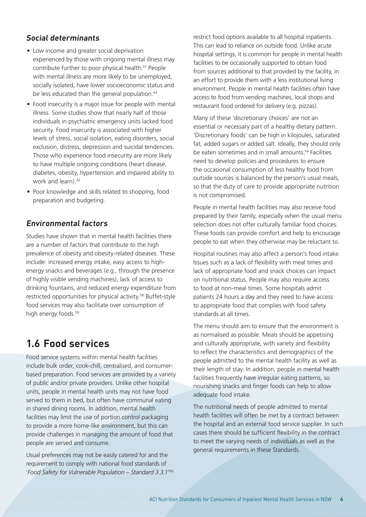#### **Social determinants**

- Low income and greater social deprivation experienced by those with ongoing mental illness may contribute further to poor physical health.<sup>37</sup> People with mental illness are more likely to be unemployed, socially isolated, have lower socioeconomic status and be less educated than the general population.<sup>44</sup>
- Food insecurity is a major issue for people with mental illness. Some studies show that nearly half of those individuals in psychiatric emergency units lacked food security. Food insecurity is associated with higher levels of stress, social isolation, eating disorders, social exclusion, distress, depression and suicidal tendencies. Those who experience food insecurity are more likely to have multiple ongoing conditions (heart disease, diabetes, obesity, hypertension and impaired ability to work and learn) 42
- Poor knowledge and skills related to shopping, food preparation and budgeting.

#### **Environmental factors**

Studies have shown that in mental health facilities there are a number of factors that contribute to the high prevalence of obesity and obesity-related diseases. These include: increased energy intake, easy access to highenergy snacks and beverages (e.g., through the presence of highly visible vending machines), lack of access to drinking fountains, and reduced energy expenditure from restricted opportunities for physical activity.<sup>58</sup> Buffet-style food services may also facilitate over consumption of high energy foods.<sup>59</sup>

#### **1.6 Food services**

Food service systems within mental health facilities include bulk order, cook-chill, centralised, and consumerbased preparation. Food services are provided by a variety of public and/or private providers. Unlike other hospital units, people in mental health units may not have food served to them in bed, but often have communal eating in shared dining rooms. In addition, mental health facilities may limit the use of portion control packaging to provide a more home-like environment, but this can provide challenges in managing the amount of food that people are served and consume.

Usual preferences may not be easily catered for and the requirement to comply with national food standards of '*Food Safety for Vulnerable Population – Standard 3.3.1*' 60 restrict food options available to all hospital inpatients. This can lead to reliance on outside food. Unlike acute hospital settings, it is common for people in mental health facilities to be occasionally supported to obtain food from sources additional to that provided by the facility, in an effort to provide them with a less institutional living environment. People in mental health facilities often have access to food from vending machines, local shops and restaurant food ordered for delivery (e.g. pizzas).

Many of these 'discretionary choices' are not an essential or necessary part of a healthy dietary pattern. 'Discretionary foods' can be high in kilojoules, saturated fat, added sugars or added salt. Ideally, they should only be eaten sometimes and in small amounts.16 Facilities need to develop policies and procedures to ensure the occasional consumption of less healthy food from outside sources is balanced by the person's usual meals, so that the duty of care to provide appropriate nutrition is not compromised.

People in mental health facilities may also receive food prepared by their family, especially when the usual menu selection does not offer culturally familiar food choices. These foods can provide comfort and help to encourage people to eat when they otherwise may be reluctant to.

Hospital routines may also affect a person's food intake. Issues such as a lack of flexibility with meal times and lack of appropriate food and snack choices can impact on nutritional status. People may also require access to food at non-meal times. Some hospitals admit patients 24 hours a day and they need to have access to appropriate food that complies with food safety standards at all times.

The menu should aim to ensure that the environment is as normalised as possible. Meals should be appetising and culturally appropriate, with variety and flexibility to reflect the characteristics and demographics of the people admitted to the mental health facility as well as their length of stay. In addition, people in mental health facilities frequently have irregular eating patterns, so nourishing snacks and finger foods can help to allow adequate food intake.

The nutritional needs of people admitted to mental health facilities will often be met by a contract between the hospital and an external food service supplier. In such cases there should be sufficient flexibility in the contract to meet the varying needs of individuals as well as the general requirements in these Standards.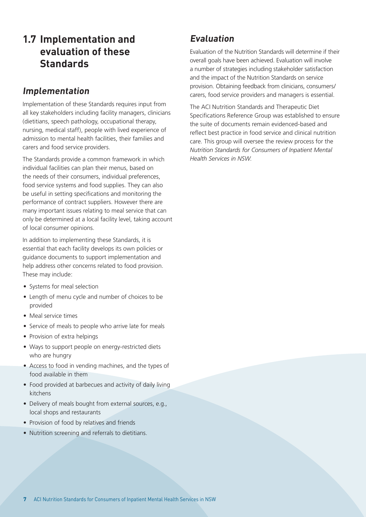#### **1.7 Implementation and evaluation of these Standards**

#### **Implementation**

Implementation of these Standards requires input from all key stakeholders including facility managers, clinicians (dietitians, speech pathology, occupational therapy, nursing, medical staff), people with lived experience of admission to mental health facilities, their families and carers and food service providers.

The Standards provide a common framework in which individual facilities can plan their menus, based on the needs of their consumers, individual preferences, food service systems and food supplies. They can also be useful in setting specifications and monitoring the performance of contract suppliers. However there are many important issues relating to meal service that can only be determined at a local facility level, taking account of local consumer opinions.

In addition to implementing these Standards, it is essential that each facility develops its own policies or guidance documents to support implementation and help address other concerns related to food provision. These may include:

- Systems for meal selection
- Length of menu cycle and number of choices to be provided
- Meal service times
- Service of meals to people who arrive late for meals
- Provision of extra helpings
- Ways to support people on energy-restricted diets who are hungry
- Access to food in vending machines, and the types of food available in them
- Food provided at barbecues and activity of daily living kitchens
- Delivery of meals bought from external sources, e.g., local shops and restaurants
- Provision of food by relatives and friends
- Nutrition screening and referrals to dietitians.

#### **Evaluation**

Evaluation of the Nutrition Standards will determine if their overall goals have been achieved. Evaluation will involve a number of strategies including stakeholder satisfaction and the impact of the Nutrition Standards on service provision. Obtaining feedback from clinicians, consumers/ carers, food service providers and managers is essential.

The ACI Nutrition Standards and Therapeutic Diet Specifications Reference Group was established to ensure the suite of documents remain evidenced-based and reflect best practice in food service and clinical nutrition care. This group will oversee the review process for the *Nutrition Standards for Consumers of Inpatient Mental Health Services in NSW*.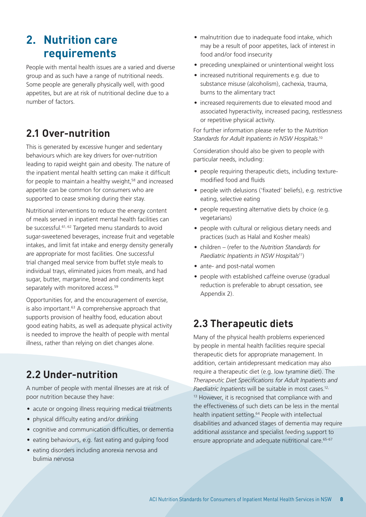## **2. Nutrition care requirements**

People with mental health issues are a varied and diverse group and as such have a range of nutritional needs. Some people are generally physically well, with good appetites, but are at risk of nutritional decline due to a number of factors.

### **2.1 Over-nutrition**

This is generated by excessive hunger and sedentary behaviours which are key drivers for over-nutrition leading to rapid weight gain and obesity. The nature of the inpatient mental health setting can make it difficult for people to maintain a healthy weight,<sup>58</sup> and increased appetite can be common for consumers who are supported to cease smoking during their stay.

Nutritional interventions to reduce the energy content of meals served in inpatient mental health facilities can be successful.61, 62 Targeted menu standards to avoid sugar-sweetened beverages, increase fruit and vegetable intakes, and limit fat intake and energy density generally are appropriate for most facilities. One successful trial changed meal service from buffet style meals to individual trays, eliminated juices from meals, and had sugar, butter, margarine, bread and condiments kept separately with monitored access.<sup>59</sup>

Opportunities for, and the encouragement of exercise, is also important.63 A comprehensive approach that supports provision of healthy food, education about good eating habits, as well as adequate physical activity is needed to improve the health of people with mental illness, rather than relying on diet changes alone.

#### **2.2 Under-nutrition**

A number of people with mental illnesses are at risk of poor nutrition because they have:

- acute or ongoing illness requiring medical treatments
- physical difficulty eating and/or drinking
- cognitive and communication difficulties, or dementia
- eating behaviours, e.g. fast eating and gulping food
- eating disorders including anorexia nervosa and bulimia nervosa
- malnutrition due to inadequate food intake, which may be a result of poor appetites, lack of interest in food and/or food insecurity
- preceding unexplained or unintentional weight loss
- increased nutritional requirements e.g. due to substance misuse (alcoholism), cachexia, trauma, burns to the alimentary tract
- increased requirements due to elevated mood and associated hyperactivity, increased pacing, restlessness or repetitive physical activity.

For further information please refer to the *Nutrition Standards for Adult Inpatients in NSW Hospitals*. 10

Consideration should also be given to people with particular needs, including:

- people requiring therapeutic diets, including texturemodified food and fluids
- people with delusions ('fixated' beliefs), e.g. restrictive eating, selective eating
- people requesting alternative diets by choice (e.g. vegetarians)
- people with cultural or religious dietary needs and practices (such as Halal and Kosher meals)
- children (refer to the *Nutrition Standards for Paediatric Inpatients in NSW Hospitals*11)
- ante- and post-natal women
- people with established caffeine overuse (gradual reduction is preferable to abrupt cessation, see Appendix 2).

#### **2.3 Therapeutic diets**

Many of the physical health problems experienced by people in mental health facilities require special therapeutic diets for appropriate management. In addition, certain antidepressant medication may also require a therapeutic diet (e.g. low tyramine diet). The *Therapeutic Diet Specifications for Adult Inpatients and Paediatric Inpatients* will be suitable in most cases.12, <sup>13</sup> However, it is recognised that compliance with and the effectiveness of such diets can be less in the mental health inpatient setting.<sup>64</sup> People with intellectual disabilities and advanced stages of dementia may require additional assistance and specialist feeding support to ensure appropriate and adequate nutritional care.<sup>65-67</sup>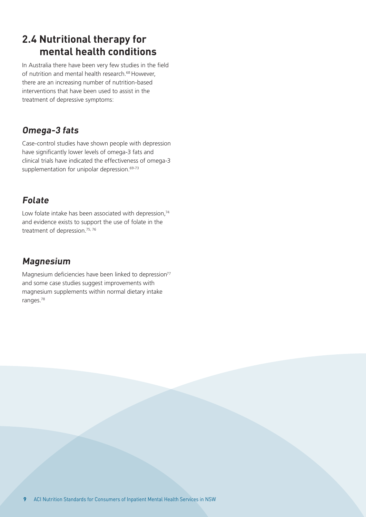#### **2.4 Nutritional therapy for mental health conditions**

In Australia there have been very few studies in the field of nutrition and mental health research.<sup>68</sup> However, there are an increasing number of nutrition-based interventions that have been used to assist in the treatment of depressive symptoms:

#### **Omega-3 fats**

Case-control studies have shown people with depression have significantly lower levels of omega-3 fats and clinical trials have indicated the effectiveness of omega-3 supplementation for unipolar depression.<sup>69-73</sup>

#### **Folate**

Low folate intake has been associated with depression.<sup>74</sup> and evidence exists to support the use of folate in the treatment of depression.<sup>75, 76</sup>

#### **Magnesium**

Magnesium deficiencies have been linked to depression<sup>77</sup> and some case studies suggest improvements with magnesium supplements within normal dietary intake ranges.78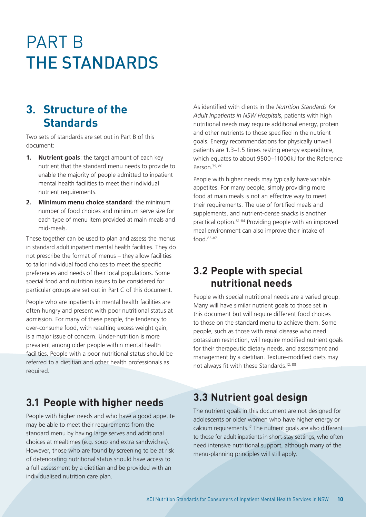## PART B THE STANDARDS

#### **3. Structure of the Standards**

Two sets of standards are set out in Part B of this document:

- **1. Nutrient goals**: the target amount of each key nutrient that the standard menu needs to provide to enable the majority of people admitted to inpatient mental health facilities to meet their individual nutrient requirements.
- **2. Minimum menu choice standard**: the minimum number of food choices and minimum serve size for each type of menu item provided at main meals and mid-meals.

These together can be used to plan and assess the menus in standard adult inpatient mental health facilities. They do not prescribe the format of menus – they allow facilities to tailor individual food choices to meet the specific preferences and needs of their local populations. Some special food and nutrition issues to be considered for particular groups are set out in Part C of this document.

People who are inpatients in mental health facilities are often hungry and present with poor nutritional status at admission. For many of these people, the tendency to over-consume food, with resulting excess weight gain, is a major issue of concern. Under-nutrition is more prevalent among older people within mental health facilities. People with a poor nutritional status should be referred to a dietitian and other health professionals as required.

**3.1 People with higher needs**

People with higher needs and who have a good appetite may be able to meet their requirements from the standard menu by having large serves and additional choices at mealtimes (e.g. soup and extra sandwiches). However, those who are found by screening to be at risk of deteriorating nutritional status should have access to a full assessment by a dietitian and be provided with an individualised nutrition care plan.

As identified with clients in the *Nutrition Standards for Adult Inpatients in NSW Hospitals*, patients with high nutritional needs may require additional energy, protein and other nutrients to those specified in the nutrient goals. Energy recommendations for physically unwell patients are 1.3–1.5 times resting energy expenditure, which equates to about 9500–11000kJ for the Reference Person.<sup>79, 80</sup>

People with higher needs may typically have variable appetites. For many people, simply providing more food at main meals is not an effective way to meet their requirements. The use of fortified meals and supplements, and nutrient-dense snacks is another practical option.81-84 Providing people with an improved meal environment can also improve their intake of food.85-87

#### **3.2 People with special nutritional needs**

People with special nutritional needs are a varied group. Many will have similar nutrient goals to those set in this document but will require different food choices to those on the standard menu to achieve them. Some people, such as those with renal disease who need potassium restriction, will require modified nutrient goals for their therapeutic dietary needs, and assessment and management by a dietitian. Texture-modified diets may not always fit with these Standards.12, 88

#### **3.3 Nutrient goal design**

The nutrient goals in this document are not designed for adolescents or older women who have higher energy or calcium requirements.17 The nutrient goals are also different to those for adult inpatients in short-stay settings, who often need intensive nutritional support, although many of the menu-planning principles will still apply.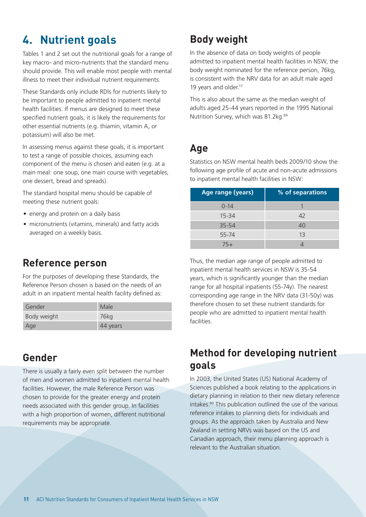## **4. Nutrient goals**

Tables 1 and 2 set out the nutritional goals for a range of key macro- and micro-nutrients that the standard menu should provide. This will enable most people with mental illness to meet their individual nutrient requirements.

These Standards only include RDIs for nutrients likely to be important to people admitted to inpatient mental health facilities. If menus are designed to meet these specified nutrient goals, it is likely the requirements for other essential nutrients (e.g. thiamin, vitamin A, or potassium) will also be met.

In assessing menus against these goals, it is important to test a range of possible choices, assuming each component of the menu is chosen and eaten (e.g. at a main meal: one soup, one main course with vegetables, one dessert, bread and spreads).

The standard hospital menu should be capable of meeting these nutrient goals:

- energy and protein on a daily basis
- micronutrients (vitamins, minerals) and fatty acids averaged on a weekly basis.

#### **Reference person**

For the purposes of developing these Standards, the Reference Person chosen is based on the needs of an adult in an inpatient mental health facility defined as:

| Gender      | Male             |
|-------------|------------------|
| Body weight | 76 <sub>kg</sub> |
| Age         | 44 years         |

#### **Gender**

There is usually a fairly even split between the number of men and women admitted to inpatient mental health facilities. However, the male Reference Person was chosen to provide for the greater energy and protein needs associated with this gender group. In facilities with a high proportion of women, different nutritional requirements may be appropriate.

### **Body weight**

In the absence of data on body weights of people admitted to inpatient mental health facilities in NSW, the body weight nominated for the reference person, 76kg, is consistent with the NRV data for an adult male aged 19 years and older.<sup>17</sup>

This is also about the same as the median weight of adults aged 25-44 years reported in the 1995 National Nutrition Survey, which was 81.2kg.<sup>89</sup>

#### **Age**

Statistics on NSW mental health beds 2009/10 show the following age profile of acute and non-acute admissions to inpatient mental health facilities in NSW:

| Age range (years) | % of separations |
|-------------------|------------------|
| $0 - 14$          |                  |
| $15 - 34$         | 42               |
| $35 - 54$         | 40               |
| 55-74             | 13               |
| $75+$             |                  |

Thus, the median age range of people admitted to inpatient mental health services in NSW is 35-54 years, which is significantly younger than the median range for all hospital inpatients (55-74y). The nearest corresponding age range in the NRV data (31-50y) was therefore chosen to set these nutrient standards for people who are admitted to inpatient mental health facilities.

#### **Method for developing nutrient goals**

In 2003, the United States (US) National Academy of Sciences published a book relating to the applications in dietary planning in relation to their new dietary reference intakes.90 This publication outlined the use of the various reference intakes to planning diets for individuals and groups. As the approach taken by Australia and New Zealand in setting NRVs was based on the US and Canadian approach, their menu planning approach is relevant to the Australian situation.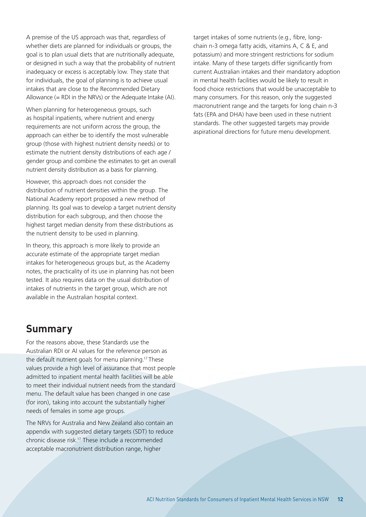A premise of the US approach was that, regardless of whether diets are planned for individuals or groups, the goal is to plan usual diets that are nutritionally adequate, or designed in such a way that the probability of nutrient inadequacy or excess is acceptably low. They state that for individuals, the goal of planning is to achieve usual intakes that are close to the Recommended Dietary Allowance (= RDI in the NRVs) or the Adequate Intake (AI).

When planning for heterogeneous groups, such as hospital inpatients, where nutrient and energy requirements are not uniform across the group, the approach can either be to identify the most vulnerable group (those with highest nutrient density needs) or to estimate the nutrient density distributions of each age / gender group and combine the estimates to get an overall nutrient density distribution as a basis for planning.

However, this approach does not consider the distribution of nutrient densities within the group. The National Academy report proposed a new method of planning. Its goal was to develop a target nutrient density distribution for each subgroup, and then choose the highest target median density from these distributions as the nutrient density to be used in planning.

In theory, this approach is more likely to provide an accurate estimate of the appropriate target median intakes for heterogeneous groups but, as the Academy notes, the practicality of its use in planning has not been tested. It also requires data on the usual distribution of intakes of nutrients in the target group, which are not available in the Australian hospital context.

#### **Summary**

For the reasons above, these Standards use the Australian RDI or AI values for the reference person as the default nutrient goals for menu planning.17 These values provide a high level of assurance that most people admitted to inpatient mental health facilities will be able to meet their individual nutrient needs from the standard menu. The default value has been changed in one case (for iron), taking into account the substantially higher needs of females in some age groups.

The NRVs for Australia and New Zealand also contain an appendix with suggested dietary targets (SDT) to reduce chronic disease risk.17 These include a recommended acceptable macronutrient distribution range, higher

target intakes of some nutrients (e.g., fibre, longchain n-3 omega fatty acids, vitamins A, C & E, and potassium) and more stringent restrictions for sodium intake. Many of these targets differ significantly from current Australian intakes and their mandatory adoption in mental health facilities would be likely to result in food choice restrictions that would be unacceptable to many consumers. For this reason, only the suggested macronutrient range and the targets for long chain n-3 fats (EPA and DHA) have been used in these nutrient standards. The other suggested targets may provide aspirational directions for future menu development.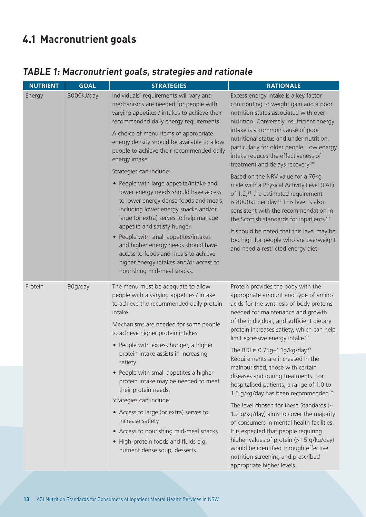## **4.1 Macronutrient goals**

#### **TABLE 1: Macronutrient goals, strategies and rationale**

| <b>NUTRIENT</b>                            | <b>GOAL</b> | <b>STRATEGIES</b>                                                                                                                                                                                                                                                                                                                                                                                                                                                                                                                                                                                                                       | <b>RATIONALE</b>                                                                                                                                                                                                                                                                                                                                                                                                                                                                                                                                                                                                                                                                                                                                                                                                                                                                                          |
|--------------------------------------------|-------------|-----------------------------------------------------------------------------------------------------------------------------------------------------------------------------------------------------------------------------------------------------------------------------------------------------------------------------------------------------------------------------------------------------------------------------------------------------------------------------------------------------------------------------------------------------------------------------------------------------------------------------------------|-----------------------------------------------------------------------------------------------------------------------------------------------------------------------------------------------------------------------------------------------------------------------------------------------------------------------------------------------------------------------------------------------------------------------------------------------------------------------------------------------------------------------------------------------------------------------------------------------------------------------------------------------------------------------------------------------------------------------------------------------------------------------------------------------------------------------------------------------------------------------------------------------------------|
| 8000kJ/day<br>Energy<br>Protein<br>90g/day |             | Individuals' requirements will vary and<br>mechanisms are needed for people with<br>varying appetites / intakes to achieve their<br>recommended daily energy requirements.                                                                                                                                                                                                                                                                                                                                                                                                                                                              | Excess energy intake is a key factor<br>contributing to weight gain and a poor<br>nutrition status associated with over-<br>nutrition. Conversely insufficient energy                                                                                                                                                                                                                                                                                                                                                                                                                                                                                                                                                                                                                                                                                                                                     |
|                                            |             | A choice of menu items of appropriate<br>energy density should be available to allow<br>people to achieve their recommended daily<br>energy intake.                                                                                                                                                                                                                                                                                                                                                                                                                                                                                     | intake is a common cause of poor<br>nutritional status and under-nutrition,<br>particularly for older people. Low energy<br>intake reduces the effectiveness of<br>treatment and delays recovery. <sup>81</sup>                                                                                                                                                                                                                                                                                                                                                                                                                                                                                                                                                                                                                                                                                           |
|                                            |             | Strategies can include:<br>• People with large appetite/intake and<br>lower energy needs should have access<br>to lower energy dense foods and meals,<br>including lower energy snacks and/or<br>large (or extra) serves to help manage<br>appetite and satisfy hunger.<br>• People with small appetites/intakes<br>and higher energy needs should have<br>access to foods and meals to achieve<br>higher energy intakes and/or access to<br>nourishing mid-meal snacks.                                                                                                                                                                | Based on the NRV value for a 76kg<br>male with a Physical Activity Level (PAL)<br>of 1.2,91 the estimated requirement<br>is 8000kJ per day. <sup>17</sup> This level is also<br>consistent with the recommendation in<br>the Scottish standards for inpatients. <sup>92</sup><br>It should be noted that this level may be<br>too high for people who are overweight<br>and need a restricted energy diet.                                                                                                                                                                                                                                                                                                                                                                                                                                                                                                |
|                                            |             | The menu must be adequate to allow<br>people with a varying appetites / intake<br>to achieve the recommended daily protein<br>intake.<br>Mechanisms are needed for some people<br>to achieve higher protein intakes:<br>• People with excess hunger, a higher<br>protein intake assists in increasing<br>satiety<br>• People with small appetites a higher<br>protein intake may be needed to meet<br>their protein needs.<br>Strategies can include:<br>• Access to large (or extra) serves to<br>increase satiety<br>• Access to nourishing mid-meal snacks<br>• High-protein foods and fluids e.g.<br>nutrient dense soup, desserts. | Protein provides the body with the<br>appropriate amount and type of amino<br>acids for the synthesis of body proteins<br>needed for maintenance and growth<br>of the individual, and sufficient dietary<br>protein increases satiety, which can help<br>limit excessive energy intake. <sup>93</sup><br>The RDI is 0.75g-1.1g/kg/day. <sup>17</sup><br>Requirements are increased in the<br>malnourished, those with certain<br>diseases and during treatments. For<br>hospitalised patients, a range of 1.0 to<br>1.5 g/kg/day has been recommended. <sup>79</sup><br>The level chosen for these Standards (~<br>1.2 g/kg/day) aims to cover the majority<br>of consumers in mental health facilities.<br>It is expected that people requiring<br>higher values of protein (>1.5 g/kg/day)<br>would be identified through effective<br>nutrition screening and prescribed<br>appropriate higher levels. |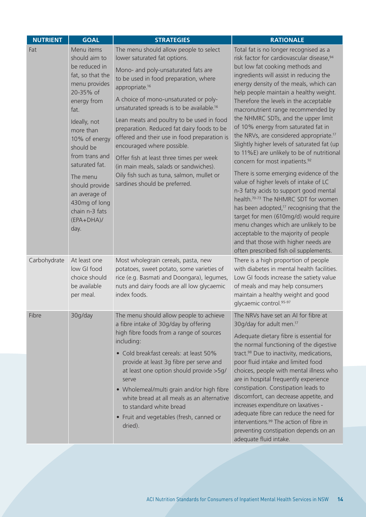| <b>NUTRIENT</b> | <b>GOAL</b>                                                                                                                                                                                                                                                                                                                    | <b>STRATEGIES</b>                                                                                                                                                                                                                                                                                                                                                                                                                                                                                                                                                                                                                   | <b>RATIONALE</b>                                                                                                                                                                                                                                                                                                                                                                                                                                                                                                                                                                                                                                                                                                                                                                                                                                                                                                                                                                                                                                                              |
|-----------------|--------------------------------------------------------------------------------------------------------------------------------------------------------------------------------------------------------------------------------------------------------------------------------------------------------------------------------|-------------------------------------------------------------------------------------------------------------------------------------------------------------------------------------------------------------------------------------------------------------------------------------------------------------------------------------------------------------------------------------------------------------------------------------------------------------------------------------------------------------------------------------------------------------------------------------------------------------------------------------|-------------------------------------------------------------------------------------------------------------------------------------------------------------------------------------------------------------------------------------------------------------------------------------------------------------------------------------------------------------------------------------------------------------------------------------------------------------------------------------------------------------------------------------------------------------------------------------------------------------------------------------------------------------------------------------------------------------------------------------------------------------------------------------------------------------------------------------------------------------------------------------------------------------------------------------------------------------------------------------------------------------------------------------------------------------------------------|
| Fat             | Menu items<br>should aim to<br>be reduced in<br>fat, so that the<br>menu provides<br>20-35% of<br>energy from<br>fat.<br>Ideally, not<br>more than<br>10% of energy<br>should be<br>from trans and<br>saturated fat.<br>The menu<br>should provide<br>an average of<br>430mg of long<br>chain n-3 fats<br>$(EPA+DHA)/$<br>day. | The menu should allow people to select<br>lower saturated fat options.<br>Mono- and poly-unsaturated fats are<br>to be used in food preparation, where<br>appropriate. <sup>16</sup><br>A choice of mono-unsaturated or poly-<br>unsaturated spreads is to be available. <sup>16</sup><br>Lean meats and poultry to be used in food<br>preparation. Reduced fat dairy foods to be<br>offered and their use in food preparation is<br>encouraged where possible.<br>Offer fish at least three times per week<br>(in main meals, salads or sandwiches).<br>Oily fish such as tuna, salmon, mullet or<br>sardines should be preferred. | Total fat is no longer recognised as a<br>risk factor for cardiovascular disease, 94<br>but low fat cooking methods and<br>ingredients will assist in reducing the<br>energy density of the meals, which can<br>help people maintain a healthy weight.<br>Therefore the levels in the acceptable<br>macronutrient range recommended by<br>the NHMRC SDTs, and the upper limit<br>of 10% energy from saturated fat in<br>the NRVs, are considered appropriate. <sup>17</sup><br>Slightly higher levels of saturated fat (up<br>to 11%E) are unlikely to be of nutritional<br>concern for most inpatients. <sup>92</sup><br>There is some emerging evidence of the<br>value of higher levels of intake of LC<br>n-3 fatty acids to support good mental<br>health. <sup>70-73</sup> The NHMRC SDT for women<br>has been adopted, <sup>17</sup> recognising that the<br>target for men (610mg/d) would require<br>menu changes which are unlikely to be<br>acceptable to the majority of people<br>and that those with higher needs are<br>often prescribed fish oil supplements. |
| Carbohydrate    | At least one<br>low GI food<br>choice should<br>be available<br>per meal.                                                                                                                                                                                                                                                      | Most wholegrain cereals, pasta, new<br>potatoes, sweet potato, some varieties of<br>rice (e.g. Basmati and Doongara), legumes,<br>nuts and dairy foods are all low glycaemic<br>index foods.                                                                                                                                                                                                                                                                                                                                                                                                                                        | There is a high proportion of people<br>with diabetes in mental health facilities.<br>Low GI foods increase the satiety value<br>of meals and may help consumers<br>maintain a healthy weight and good<br>glycaemic control.95-97                                                                                                                                                                                                                                                                                                                                                                                                                                                                                                                                                                                                                                                                                                                                                                                                                                             |
| Fibre           | 30g/day                                                                                                                                                                                                                                                                                                                        | The menu should allow people to achieve<br>a fibre intake of 30g/day by offering<br>high fibre foods from a range of sources<br>including:<br>• Cold breakfast cereals: at least 50%<br>provide at least 3g fibre per serve and<br>at least one option should provide >5g/<br>serve<br>• Wholemeal/multi grain and/or high fibre<br>white bread at all meals as an alternative<br>to standard white bread<br>• Fruit and vegetables (fresh, canned or<br>dried).                                                                                                                                                                    | The NRVs have set an AI for fibre at<br>30g/day for adult men. <sup>17</sup><br>Adequate dietary fibre is essential for<br>the normal functioning of the digestive<br>tract. <sup>98</sup> Due to inactivity, medications,<br>poor fluid intake and limited food<br>choices, people with mental illness who<br>are in hospital frequently experience<br>constipation. Constipation leads to<br>discomfort, can decrease appetite, and<br>increases expenditure on laxatives -<br>adequate fibre can reduce the need for<br>interventions. <sup>99</sup> The action of fibre in<br>preventing constipation depends on an<br>adequate fluid intake.                                                                                                                                                                                                                                                                                                                                                                                                                             |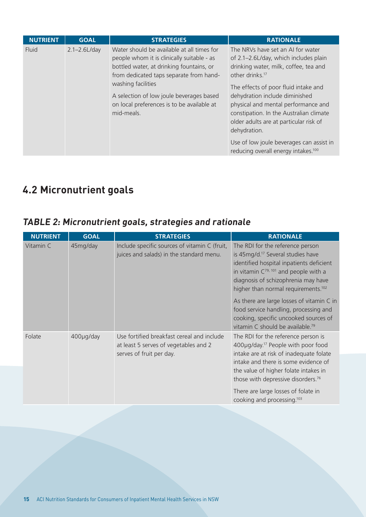| <b>NUTRIENT</b> | <b>GOAL</b>       | <b>STRATEGIES</b>                                                                                                                                                                                                                                                                                             | <b>RATIONALE</b>                                                                                                                                                                                                                                                                                                                                                                                                                                                        |
|-----------------|-------------------|---------------------------------------------------------------------------------------------------------------------------------------------------------------------------------------------------------------------------------------------------------------------------------------------------------------|-------------------------------------------------------------------------------------------------------------------------------------------------------------------------------------------------------------------------------------------------------------------------------------------------------------------------------------------------------------------------------------------------------------------------------------------------------------------------|
| Fluid           | $2.1 - 2.6$ L/day | Water should be available at all times for<br>people whom it is clinically suitable - as<br>bottled water, at drinking fountains, or<br>from dedicated taps separate from hand-<br>washing facilities<br>A selection of low joule beverages based<br>on local preferences is to be available at<br>mid-meals. | The NRVs have set an AI for water<br>of 2.1-2.6L/day, which includes plain<br>drinking water, milk, coffee, tea and<br>other drinks. <sup>17</sup><br>The effects of poor fluid intake and<br>dehydration include diminished<br>physical and mental performance and<br>constipation. In the Australian climate<br>older adults are at particular risk of<br>dehydration.<br>Use of low joule beverages can assist in<br>reducing overall energy intakes. <sup>100</sup> |

## **4.2 Micronutrient goals**

#### **TABLE 2: Micronutrient goals, strategies and rationale**

| <b>NUTRIENT</b> | <b>GOAL</b> | <b>STRATEGIES</b>                                                                                               | <b>RATIONALE</b>                                                                                                                                                                                                                                                                                                                                     |
|-----------------|-------------|-----------------------------------------------------------------------------------------------------------------|------------------------------------------------------------------------------------------------------------------------------------------------------------------------------------------------------------------------------------------------------------------------------------------------------------------------------------------------------|
| Vitamin C       | 45mg/day    | Include specific sources of vitamin C (fruit,<br>juices and salads) in the standard menu.                       | The RDI for the reference person<br>is 45mg/d. <sup>17</sup> Several studies have<br>identified hospital inpatients deficient<br>in vitamin $C^{79, 101}$ and people with a<br>diagnosis of schizophrenia may have<br>higher than normal requirements. <sup>102</sup>                                                                                |
|                 |             |                                                                                                                 | As there are large losses of vitamin C in<br>food service handling, processing and<br>cooking, specific uncooked sources of<br>vitamin C should be available. <sup>79</sup>                                                                                                                                                                          |
| Folate          | 400µg/day   | Use fortified breakfast cereal and include<br>at least 5 serves of vegetables and 2<br>serves of fruit per day. | The RDI for the reference person is<br>400µg/day. <sup>17</sup> People with poor food<br>intake are at risk of inadequate folate<br>intake and there is some evidence of<br>the value of higher folate intakes in<br>those with depressive disorders. <sup>76</sup><br>There are large losses of folate in<br>cooking and processing. <sup>103</sup> |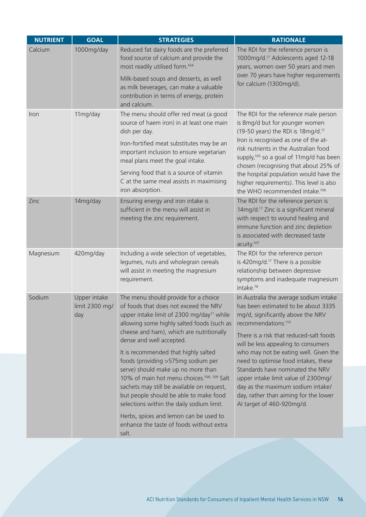| <b>NUTRIENT</b> | <b>GOAL</b>                           | <b>STRATEGIES</b>                                                                                                                                                                                                                                                                                               | <b>RATIONALE</b>                                                                                                                                                                                                                                                    |
|-----------------|---------------------------------------|-----------------------------------------------------------------------------------------------------------------------------------------------------------------------------------------------------------------------------------------------------------------------------------------------------------------|---------------------------------------------------------------------------------------------------------------------------------------------------------------------------------------------------------------------------------------------------------------------|
| Calcium         | 1000mg/day                            | Reduced fat dairy foods are the preferred<br>food source of calcium and provide the<br>most readily utilised form. <sup>104</sup>                                                                                                                                                                               | The RDI for the reference person is<br>1000mg/d. <sup>17</sup> Adolescents aged 12-18<br>years, women over 50 years and men                                                                                                                                         |
|                 |                                       | Milk-based soups and desserts, as well<br>as milk beverages, can make a valuable<br>contribution in terms of energy, protein<br>and calcium.                                                                                                                                                                    | over 70 years have higher requirements<br>for calcium (1300mg/d).                                                                                                                                                                                                   |
| Iron            | 11mg/day                              | The menu should offer red meat (a good<br>source of haem iron) in at least one main<br>dish per day.                                                                                                                                                                                                            | The RDI for the reference male person<br>is 8mg/d but for younger women<br>(19-50 years) the RDI is 18mg/d. <sup>17</sup>                                                                                                                                           |
|                 |                                       | Iron-fortified meat substitutes may be an<br>important inclusion to ensure vegetarian<br>meal plans meet the goal intake.                                                                                                                                                                                       | Iron is recognised as one of the at-<br>risk nutrients in the Australian food<br>supply, <sup>105</sup> so a goal of 11mg/d has been<br>chosen (recognising that about 25% of                                                                                       |
|                 |                                       | Serving food that is a source of vitamin<br>C at the same meal assists in maximising<br>iron absorption.                                                                                                                                                                                                        | the hospital population would have the<br>higher requirements). This level is also<br>the WHO recommended intake. <sup>106</sup>                                                                                                                                    |
| Zinc            | 14mg/day                              | Ensuring energy and iron intake is<br>sufficient in the menu will assist in<br>meeting the zinc requirement.                                                                                                                                                                                                    | The RDI for the reference person is<br>14mg/d. <sup>17</sup> Zinc is a significant mineral<br>with respect to wound healing and<br>immune function and zinc depletion<br>is associated with decreased taste<br>acuity. <sup>107</sup>                               |
| Magnesium       | 420mg/day                             | Including a wide selection of vegetables,<br>legumes, nuts and wholegrain cereals<br>will assist in meeting the magnesium<br>requirement.                                                                                                                                                                       | The RDI for the reference person<br>is 420mg/d. <sup>17</sup> There is a possible<br>relationship between depressive<br>symptoms and inadequate magnesium<br>intake. <sup>78</sup>                                                                                  |
| Sodium          | Upper intake<br>limit 2300 mg/<br>day | The menu should provide for a choice<br>of foods that does not exceed the NRV<br>upper intake limit of 2300 mg/day <sup>17</sup> while<br>allowing some highly salted foods (such as                                                                                                                            | In Australia the average sodium intake<br>has been estimated to be about 3335<br>mg/d, significantly above the NRV<br>recommendations. <sup>110</sup>                                                                                                               |
|                 |                                       | cheese and ham), which are nutritionally<br>dense and well accepted.                                                                                                                                                                                                                                            | There is a risk that reduced-salt foods<br>will be less appealing to consumers                                                                                                                                                                                      |
|                 |                                       | It is recommended that highly salted<br>foods (providing >575mg sodium per<br>serve) should make up no more than<br>10% of main hot menu choices. <sup>108, 109</sup> Salt<br>sachets may still be available on request,<br>but people should be able to make food<br>selections within the daily sodium limit. | who may not be eating well. Given the<br>need to optimise food intakes, these<br>Standards have nominated the NRV<br>upper intake limit value of 2300mg/<br>day as the maximum sodium intake/<br>day, rather than aiming for the lower<br>AI target of 460-920mg/d. |
|                 |                                       | Herbs, spices and lemon can be used to<br>enhance the taste of foods without extra<br>salt.                                                                                                                                                                                                                     |                                                                                                                                                                                                                                                                     |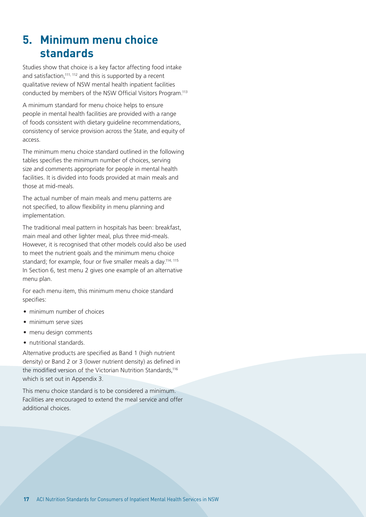## **5. Minimum menu choice standards**

Studies show that choice is a key factor affecting food intake and satisfaction,<sup>111, 112</sup> and this is supported by a recent qualitative review of NSW mental health inpatient facilities conducted by members of the NSW Official Visitors Program.113

A minimum standard for menu choice helps to ensure people in mental health facilities are provided with a range of foods consistent with dietary guideline recommendations, consistency of service provision across the State, and equity of access.

The minimum menu choice standard outlined in the following tables specifies the minimum number of choices, serving size and comments appropriate for people in mental health facilities. It is divided into foods provided at main meals and those at mid-meals.

The actual number of main meals and menu patterns are not specified, to allow flexibility in menu planning and implementation.

The traditional meal pattern in hospitals has been: breakfast, main meal and other lighter meal, plus three mid-meals. However, it is recognised that other models could also be used to meet the nutrient goals and the minimum menu choice standard; for example, four or five smaller meals a day.<sup>114, 115</sup> In Section 6, test menu 2 gives one example of an alternative menu plan.

For each menu item, this minimum menu choice standard specifies:

- minimum number of choices
- minimum serve sizes
- menu design comments
- nutritional standards.

Alternative products are specified as Band 1 (high nutrient density) or Band 2 or 3 (lower nutrient density) as defined in the modified version of the Victorian Nutrition Standards,<sup>116</sup> which is set out in Appendix 3.

This menu choice standard is to be considered a minimum. Facilities are encouraged to extend the meal service and offer additional choices.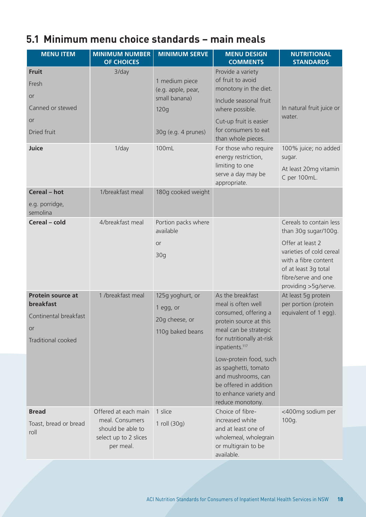## **5.1 Minimum menu choice standards – main meals**

| <b>MENU ITEM</b>                                                                                         | <b>MINIMUM NUMBER</b>                                                                              | <b>MINIMUM SERVE</b>                                                | <b>MENU DESIGN</b>                                                                                                                                                                                                                                                                                                           | <b>NUTRITIONAL</b>                                                                                                                                                                             |
|----------------------------------------------------------------------------------------------------------|----------------------------------------------------------------------------------------------------|---------------------------------------------------------------------|------------------------------------------------------------------------------------------------------------------------------------------------------------------------------------------------------------------------------------------------------------------------------------------------------------------------------|------------------------------------------------------------------------------------------------------------------------------------------------------------------------------------------------|
|                                                                                                          | <b>OF CHOICES</b>                                                                                  |                                                                     | <b>COMMENTS</b>                                                                                                                                                                                                                                                                                                              | <b>STANDARDS</b>                                                                                                                                                                               |
| <b>Fruit</b><br>Fresh                                                                                    | $3$ /day                                                                                           | 1 medium piece<br>(e.g. apple, pear,                                | Provide a variety<br>of fruit to avoid<br>monotony in the diet.                                                                                                                                                                                                                                                              |                                                                                                                                                                                                |
| <b>or</b><br>Canned or stewed                                                                            |                                                                                                    | small banana)<br>120q                                               | Include seasonal fruit<br>where possible.                                                                                                                                                                                                                                                                                    | In natural fruit juice or<br>water.                                                                                                                                                            |
| <b>or</b><br>Dried fruit                                                                                 |                                                                                                    | 30g (e.g. 4 prunes)                                                 | Cut-up fruit is easier<br>for consumers to eat<br>than whole pieces.                                                                                                                                                                                                                                                         |                                                                                                                                                                                                |
| Juice                                                                                                    | $1$ /day                                                                                           | 100mL                                                               | For those who require<br>energy restriction,<br>limiting to one<br>serve a day may be<br>appropriate.                                                                                                                                                                                                                        | 100% juice; no added<br>sugar.<br>At least 20mg vitamin<br>C per 100mL.                                                                                                                        |
| Cereal - hot                                                                                             | 1/breakfast meal                                                                                   | 180g cooked weight                                                  |                                                                                                                                                                                                                                                                                                                              |                                                                                                                                                                                                |
| e.g. porridge,<br>semolina                                                                               |                                                                                                    |                                                                     |                                                                                                                                                                                                                                                                                                                              |                                                                                                                                                                                                |
| Cereal - cold                                                                                            | 4/breakfast meal                                                                                   | Portion packs where<br>available<br>or<br>30 <sub>g</sub>           |                                                                                                                                                                                                                                                                                                                              | Cereals to contain less<br>than 30g sugar/100g.<br>Offer at least 2<br>varieties of cold cereal<br>with a fibre content<br>of at least 3g total<br>fibre/serve and one<br>providing >5g/serve. |
| <b>Protein source at</b><br><b>breakfast</b><br>Continental breakfast<br>or<br><b>Traditional cooked</b> | 1 /breakfast meal                                                                                  | 125g yoghurt, or<br>1 egg, or<br>20g cheese, or<br>110g baked beans | As the breakfast<br>meal is often well<br>consumed, offering a<br>protein source at this<br>meal can be strategic<br>for nutritionally at-risk<br>inpatients. <sup>117</sup><br>Low-protein food, such<br>as spaghetti, tomato<br>and mushrooms, can<br>be offered in addition<br>to enhance variety and<br>reduce monotony. | At least 5g protein<br>per portion (protein<br>equivalent of 1 egg).                                                                                                                           |
| <b>Bread</b><br>Toast, bread or bread<br>roll                                                            | Offered at each main<br>meal. Consumers<br>should be able to<br>select up to 2 slices<br>per meal. | 1 slice<br>1 roll (30g)                                             | Choice of fibre-<br>increased white<br>and at least one of<br>wholemeal, wholegrain<br>or multigrain to be<br>available.                                                                                                                                                                                                     | <400mg sodium per<br>100g.                                                                                                                                                                     |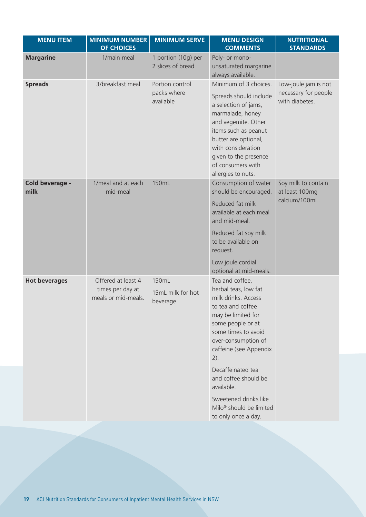| <b>MENU ITEM</b>        | <b>MINIMUM NUMBER</b><br><b>OF CHOICES</b>                    | <b>MINIMUM SERVE</b>                        | <b>MENU DESIGN</b><br><b>COMMENTS</b>                                                                                                                                                                                                                                                                                                                              | <b>NUTRITIONAL</b><br><b>STANDARDS</b>                         |
|-------------------------|---------------------------------------------------------------|---------------------------------------------|--------------------------------------------------------------------------------------------------------------------------------------------------------------------------------------------------------------------------------------------------------------------------------------------------------------------------------------------------------------------|----------------------------------------------------------------|
| <b>Margarine</b>        | 1/main meal                                                   | 1 portion (10g) per<br>2 slices of bread    | Poly- or mono-<br>unsaturated margarine<br>always available.                                                                                                                                                                                                                                                                                                       |                                                                |
| <b>Spreads</b>          | 3/breakfast meal                                              | Portion control<br>packs where<br>available | Minimum of 3 choices.<br>Spreads should include<br>a selection of jams,<br>marmalade, honey<br>and vegemite. Other<br>items such as peanut<br>butter are optional,<br>with consideration<br>given to the presence<br>of consumers with<br>allergies to nuts.                                                                                                       | Low-joule jam is not<br>necessary for people<br>with diabetes. |
| Cold beverage -<br>milk | 1/meal and at each<br>mid-meal                                | 150mL                                       | Consumption of water<br>should be encouraged.<br>Reduced fat milk<br>available at each meal<br>and mid-meal.<br>Reduced fat soy milk<br>to be available on<br>request.<br>Low joule cordial<br>optional at mid-meals.                                                                                                                                              | Soy milk to contain<br>at least 100mg<br>calcium/100mL.        |
| <b>Hot beverages</b>    | Offered at least 4<br>times per day at<br>meals or mid-meals. | 150mL<br>15mL milk for hot<br>beverage      | Tea and coffee,<br>herbal teas, low fat<br>milk drinks. Access<br>to tea and coffee<br>may be limited for<br>some people or at<br>some times to avoid<br>over-consumption of<br>caffeine (see Appendix<br>$2)$ .<br>Decaffeinated tea<br>and coffee should be<br>available.<br>Sweetened drinks like<br>Milo <sup>®</sup> should be limited<br>to only once a day. |                                                                |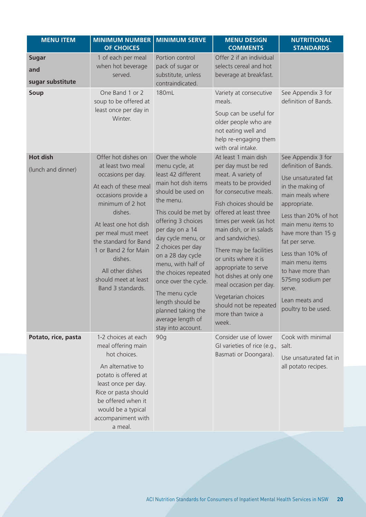| <b>MENU ITEM</b>                                | <b>MINIMUM NUMBER</b><br><b>OF CHOICES</b>                                                                                                                                                                                                                                                                                | <b>MINIMUM SERVE</b>                                                                                                                                                                                                                                                                                                                                                                                                          | <b>MENU DESIGN</b><br><b>COMMENTS</b>                                                                                                                                                                                                                                                                                                                                                                                                                         | <b>NUTRITIONAL</b><br><b>STANDARDS</b>                                                                                                                                                                                                                                                                                                              |
|-------------------------------------------------|---------------------------------------------------------------------------------------------------------------------------------------------------------------------------------------------------------------------------------------------------------------------------------------------------------------------------|-------------------------------------------------------------------------------------------------------------------------------------------------------------------------------------------------------------------------------------------------------------------------------------------------------------------------------------------------------------------------------------------------------------------------------|---------------------------------------------------------------------------------------------------------------------------------------------------------------------------------------------------------------------------------------------------------------------------------------------------------------------------------------------------------------------------------------------------------------------------------------------------------------|-----------------------------------------------------------------------------------------------------------------------------------------------------------------------------------------------------------------------------------------------------------------------------------------------------------------------------------------------------|
| <b>Sugar</b><br>and<br>sugar substitute<br>Soup | 1 of each per meal<br>when hot beverage<br>served.<br>One Band 1 or 2<br>soup to be offered at<br>least once per day in<br>Winter.                                                                                                                                                                                        | Portion control<br>pack of sugar or<br>substitute, unless<br>contraindicated.<br>180mL                                                                                                                                                                                                                                                                                                                                        | Offer 2 if an individual<br>selects cereal and hot<br>beverage at breakfast.<br>Variety at consecutive<br>meals.<br>Soup can be useful for<br>older people who are<br>not eating well and<br>help re-engaging them<br>with oral intake.                                                                                                                                                                                                                       | See Appendix 3 for<br>definition of Bands.                                                                                                                                                                                                                                                                                                          |
| <b>Hot dish</b><br>(lunch and dinner)           | Offer hot dishes on<br>at least two meal<br>occasions per day.<br>At each of these meal<br>occasions provide a<br>minimum of 2 hot<br>dishes.<br>At least one hot dish<br>per meal must meet<br>the standard for Band<br>1 or Band 2 for Main<br>dishes.<br>All other dishes<br>should meet at least<br>Band 3 standards. | Over the whole<br>menu cycle, at<br>least 42 different<br>main hot dish items<br>should be used on<br>the menu.<br>This could be met by<br>offering 3 choices<br>per day on a 14<br>day cycle menu, or<br>2 choices per day<br>on a 28 day cycle<br>menu, with half of<br>the choices repeated<br>once over the cycle.<br>The menu cycle<br>length should be<br>planned taking the<br>average length of<br>stay into account. | At least 1 main dish<br>per day must be red<br>meat. A variety of<br>meats to be provided<br>for consecutive meals.<br>Fish choices should be<br>offered at least three<br>times per week (as hot<br>main dish, or in salads<br>and sandwiches).<br>There may be facilities<br>or units where it is<br>appropriate to serve<br>hot dishes at only one<br>meal occasion per day.<br>Vegetarian choices<br>should not be repeated<br>more than twice a<br>week. | See Appendix 3 for<br>definition of Bands.<br>Use unsaturated fat<br>in the making of<br>main meals where<br>appropriate.<br>Less than 20% of hot<br>main menu items to<br>have more than 15 g<br>fat per serve.<br>Less than 10% of<br>main menu items<br>to have more than<br>575mg sodium per<br>serve.<br>Lean meats and<br>poultry to be used. |
| Potato, rice, pasta                             | 1-2 choices at each<br>meal offering main<br>hot choices.<br>An alternative to<br>potato is offered at<br>least once per day.<br>Rice or pasta should<br>be offered when it<br>would be a typical<br>accompaniment with<br>a meal.                                                                                        | 90q                                                                                                                                                                                                                                                                                                                                                                                                                           | Consider use of lower<br>GI varieties of rice (e.g.,<br>Basmati or Doongara).                                                                                                                                                                                                                                                                                                                                                                                 | Cook with minimal<br>salt.<br>Use unsaturated fat in<br>all potato recipes.                                                                                                                                                                                                                                                                         |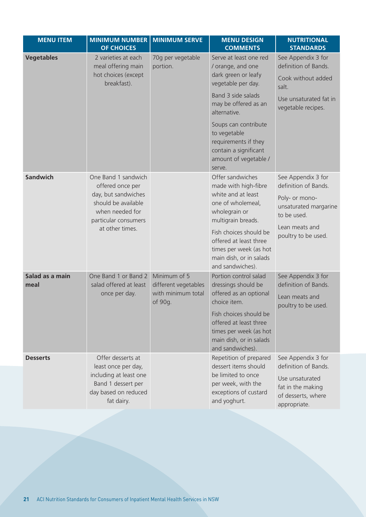| <b>MENU ITEM</b>        | <b>MINIMUM NUMBER</b><br><b>OF CHOICES</b>                                            | <b>MINIMUM SERVE</b>                 | <b>MENU DESIGN</b><br><b>COMMENTS</b>                                                                                     | <b>NUTRITIONAL</b><br><b>STANDARDS</b>                                     |
|-------------------------|---------------------------------------------------------------------------------------|--------------------------------------|---------------------------------------------------------------------------------------------------------------------------|----------------------------------------------------------------------------|
| <b>Vegetables</b>       | 2 varieties at each<br>meal offering main<br>hot choices (except<br>breakfast).       | 70g per vegetable<br>portion.        | Serve at least one red<br>/ orange, and one<br>dark green or leafy<br>vegetable per day.<br>Band 3 side salads            | See Appendix 3 for<br>definition of Bands.<br>Cook without added<br>salt.  |
|                         |                                                                                       |                                      | may be offered as an<br>alternative.<br>Soups can contribute                                                              | Use unsaturated fat in<br>vegetable recipes.                               |
|                         |                                                                                       |                                      | to vegetable<br>requirements if they<br>contain a significant<br>amount of vegetable /<br>serve.                          |                                                                            |
| <b>Sandwich</b>         | One Band 1 sandwich<br>offered once per                                               |                                      | Offer sandwiches<br>made with high-fibre                                                                                  | See Appendix 3 for<br>definition of Bands.                                 |
|                         | day, but sandwiches<br>should be available<br>when needed for<br>particular consumers |                                      | white and at least<br>one of wholemeal,<br>wholegrain or<br>multigrain breads.                                            | Poly- or mono-<br>unsaturated margarine<br>to be used.                     |
|                         | at other times.                                                                       |                                      | Fish choices should be<br>offered at least three<br>times per week (as hot<br>main dish, or in salads<br>and sandwiches). | Lean meats and<br>poultry to be used.                                      |
| Salad as a main<br>meal | One Band 1 or Band 2<br>salad offered at least                                        | Minimum of 5<br>different vegetables | Portion control salad<br>dressings should be                                                                              | See Appendix 3 for<br>definition of Bands.                                 |
|                         | once per day.                                                                         | with minimum total<br>of 90g.        | offered as an optional<br>choice item.                                                                                    | Lean meats and<br>poultry to be used.                                      |
|                         |                                                                                       |                                      | Fish choices should be<br>offered at least three<br>times per week (as hot<br>main dish, or in salads<br>and sandwiches). |                                                                            |
| <b>Desserts</b>         | Offer desserts at<br>least once per day,                                              |                                      | Repetition of prepared<br>dessert items should                                                                            | See Appendix 3 for<br>definition of Bands.                                 |
|                         | including at least one<br>Band 1 dessert per<br>day based on reduced<br>fat dairy.    |                                      | be limited to once<br>per week, with the<br>exceptions of custard<br>and yoghurt.                                         | Use unsaturated<br>fat in the making<br>of desserts, where<br>appropriate. |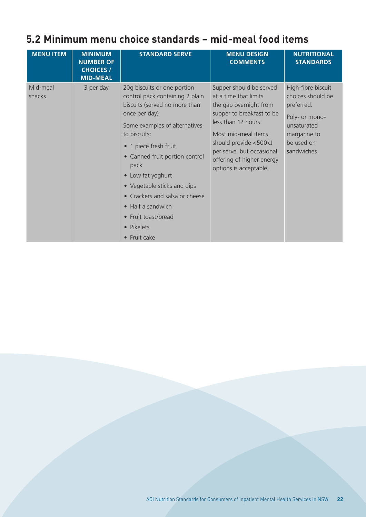### **5.2 Minimum menu choice standards – mid-meal food items**

| <b>MENU ITEM</b>   | <b>MINIMUM</b><br><b>NUMBER OF</b><br><b>CHOICES /</b><br><b>MID-MEAL</b> | <b>STANDARD SERVE</b>                                                                                                                                                                                                                                                                                                                                                                                                      | <b>MENU DESIGN</b><br><b>COMMENTS</b>                                                                                                                                                                                                                              | <b>NUTRITIONAL</b><br><b>STANDARDS</b>                                                                                              |
|--------------------|---------------------------------------------------------------------------|----------------------------------------------------------------------------------------------------------------------------------------------------------------------------------------------------------------------------------------------------------------------------------------------------------------------------------------------------------------------------------------------------------------------------|--------------------------------------------------------------------------------------------------------------------------------------------------------------------------------------------------------------------------------------------------------------------|-------------------------------------------------------------------------------------------------------------------------------------|
| Mid-meal<br>snacks | 3 per day                                                                 | 20g biscuits or one portion<br>control pack containing 2 plain<br>biscuits (served no more than<br>once per day)<br>Some examples of alternatives<br>to biscuits:<br>• 1 piece fresh fruit<br>• Canned fruit portion control<br>pack<br>• Low fat yoghurt<br>• Vegetable sticks and dips<br>• Crackers and salsa or cheese<br>• Half a sandwich<br>Fruit toast/bread<br>$\bullet$<br>Pikelets<br>$\bullet$<br>• Fruit cake | Supper should be served<br>at a time that limits<br>the gap overnight from<br>supper to breakfast to be<br>less than 12 hours.<br>Most mid-meal items<br>should provide <500kJ<br>per serve, but occasional<br>offering of higher energy<br>options is acceptable. | High-fibre biscuit<br>choices should be<br>preferred.<br>Poly- or mono-<br>unsaturated<br>margarine to<br>be used on<br>sandwiches. |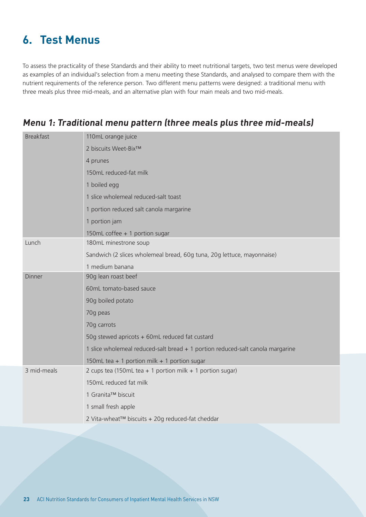## **6. Test Menus**

To assess the practicality of these Standards and their ability to meet nutritional targets, two test menus were developed as examples of an individual's selection from a menu meeting these Standards, and analysed to compare them with the nutrient requirements of the reference person. Two different menu patterns were designed: a traditional menu with three meals plus three mid-meals, and an alternative plan with four main meals and two mid-meals.

| <b>Breakfast</b> | 110mL orange juice                                                             |
|------------------|--------------------------------------------------------------------------------|
|                  | 2 biscuits Weet-Bix™                                                           |
|                  | 4 prunes                                                                       |
|                  | 150mL reduced-fat milk                                                         |
|                  | 1 boiled egg                                                                   |
|                  | 1 slice wholemeal reduced-salt toast                                           |
|                  | 1 portion reduced salt canola margarine                                        |
|                  | 1 portion jam                                                                  |
|                  | 150mL coffee + 1 portion sugar                                                 |
| Lunch            | 180mL minestrone soup                                                          |
|                  | Sandwich (2 slices wholemeal bread, 60g tuna, 20g lettuce, mayonnaise)         |
|                  | 1 medium banana                                                                |
| Dinner           | 90g lean roast beef                                                            |
|                  | 60mL tomato-based sauce                                                        |
|                  | 90g boiled potato                                                              |
|                  | 70g peas                                                                       |
|                  | 70g carrots                                                                    |
|                  | 50g stewed apricots + 60mL reduced fat custard                                 |
|                  | 1 slice wholemeal reduced-salt bread + 1 portion reduced-salt canola margarine |
|                  | 150mL tea + 1 portion milk + 1 portion sugar                                   |
| 3 mid-meals      | 2 cups tea (150mL tea + 1 portion milk + 1 portion sugar)                      |
|                  | 150mL reduced fat milk                                                         |
|                  | 1 Granita™ biscuit                                                             |
|                  | 1 small fresh apple                                                            |
|                  | 2 Vita-wheat™ biscuits + 20g reduced-fat cheddar                               |
|                  |                                                                                |

#### **Menu 1: Traditional menu pattern (three meals plus three mid-meals)**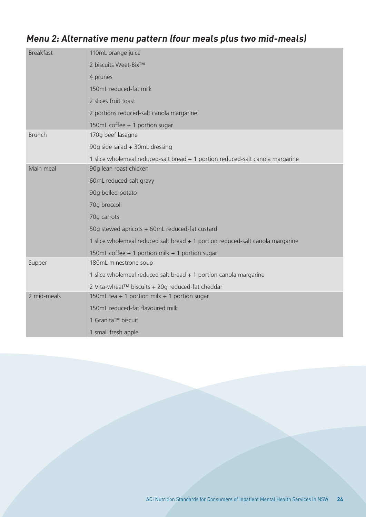#### **Menu 2: Alternative menu pattern (four meals plus two mid-meals)**

| <b>Breakfast</b> | 110mL orange juice                                                             |  |  |  |  |
|------------------|--------------------------------------------------------------------------------|--|--|--|--|
|                  | 2 biscuits Weet-Bix™                                                           |  |  |  |  |
|                  | 4 prunes                                                                       |  |  |  |  |
|                  | 150mL reduced-fat milk                                                         |  |  |  |  |
|                  | 2 slices fruit toast                                                           |  |  |  |  |
|                  | 2 portions reduced-salt canola margarine                                       |  |  |  |  |
|                  | 150mL coffee + 1 portion sugar                                                 |  |  |  |  |
| <b>Brunch</b>    | 170g beef lasagne                                                              |  |  |  |  |
|                  | 90g side salad + 30mL dressing                                                 |  |  |  |  |
|                  | 1 slice wholemeal reduced-salt bread + 1 portion reduced-salt canola margarine |  |  |  |  |
| Main meal        | 90g lean roast chicken                                                         |  |  |  |  |
|                  | 60mL reduced-salt gravy                                                        |  |  |  |  |
|                  | 90g boiled potato                                                              |  |  |  |  |
|                  | 70g broccoli                                                                   |  |  |  |  |
|                  | 70g carrots                                                                    |  |  |  |  |
|                  | 50g stewed apricots + 60mL reduced-fat custard                                 |  |  |  |  |
|                  | 1 slice wholemeal reduced salt bread + 1 portion reduced-salt canola margarine |  |  |  |  |
|                  | 150mL coffee + 1 portion milk + 1 portion sugar                                |  |  |  |  |
| Supper           | 180mL minestrone soup                                                          |  |  |  |  |
|                  | 1 slice wholemeal reduced salt bread + 1 portion canola margarine              |  |  |  |  |
|                  | 2 Vita-wheat™ biscuits + 20g reduced-fat cheddar                               |  |  |  |  |
| 2 mid-meals      | 150mL tea + 1 portion milk + 1 portion sugar                                   |  |  |  |  |
|                  | 150mL reduced-fat flavoured milk                                               |  |  |  |  |
|                  | 1 Granita™ biscuit                                                             |  |  |  |  |
|                  | 1 small fresh apple                                                            |  |  |  |  |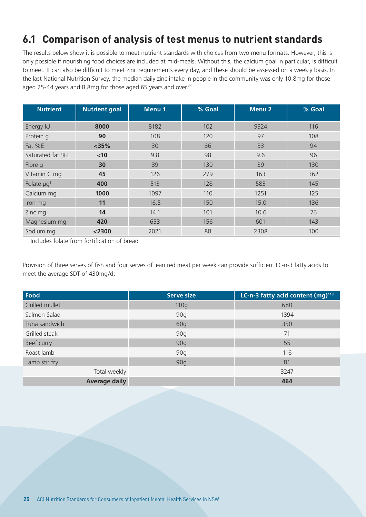### **6.1 Comparison of analysis of test menus to nutrient standards**

The results below show it is possible to meet nutrient standards with choices from two menu formats. However, this is only possible if nourishing food choices are included at mid-meals. Without this, the calcium goal in particular, is difficult to meet. It can also be difficult to meet zinc requirements every day, and these should be assessed on a weekly basis. In the last National Nutrition Survey, the median daily zinc intake in people in the community was only 10.8mg for those aged 25-44 years and 8.8mg for those aged 65 years and over.89

| <b>Nutrient</b>        | <b>Nutrient goal</b> | <b>Menu1</b> | % Goal | <b>Menu 2</b> | % Goal |
|------------------------|----------------------|--------------|--------|---------------|--------|
| Energy kJ              | 8000                 | 8182         | 102    | 9324          | 116    |
| Protein q              | 90                   | 108          | 120    | 97            | 108    |
| Fat %E                 | $<$ 35%              | 30           | 86     | 33            | 94     |
| Saturated fat %E       | < 10                 | 9.8          | 98     | 9.6           | 96     |
| Fibre g                | 30                   | 39           | 130    | 39            | 130    |
| Vitamin C mg           | 45                   | 126          | 279    | 163           | 362    |
| Folate µg <sup>+</sup> | 400                  | 513          | 128    | 583           | 145    |
| Calcium mg             | 1000                 | 1097         | 110    | 1251          | 125    |
| Iron mg                | 11                   | 16.5         | 150    | 15.0          | 136    |
| Zinc mg                | 14                   | 14.1         | 101    | 10.6          | 76     |
| Magnesium mg           | 420                  | 653          | 156    | 601           | 143    |
| Sodium mg              | $<$ 2300             | 2021         | 88     | 2308          | 100    |

† Includes folate from fortification of bread

Provision of three serves of fish and four serves of lean red meat per week can provide sufficient LC-n-3 fatty acids to meet the average SDT of 430mg/d:

| Food                 | <b>Serve size</b> | LC-n-3 fatty acid content (mg) <sup>118</sup> |
|----------------------|-------------------|-----------------------------------------------|
| Grilled mullet       | 110q              | 680                                           |
| Salmon Salad         | 90g               | 1894                                          |
| Tuna sandwich        | 60g               | 350                                           |
| Grilled steak        | 90q               | 71                                            |
| Beef curry           | 90g               | 55                                            |
| Roast lamb           | 90q               | 116                                           |
| Lamb stir fry        | 90g               | 81                                            |
| Total weekly         |                   | 3247                                          |
| <b>Average daily</b> |                   | 464                                           |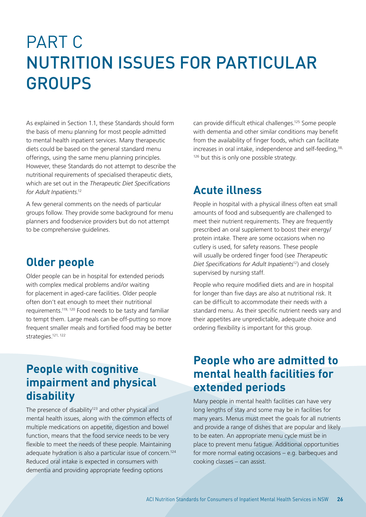## PART C NUTRITION ISSUES FOR PARTICULAR GROUPS

As explained in Section 1.1, these Standards should form the basis of menu planning for most people admitted to mental health inpatient services. Many therapeutic diets could be based on the general standard menu offerings, using the same menu planning principles. However, these Standards do not attempt to describe the nutritional requirements of specialised therapeutic diets, which are set out in the *Therapeutic Diet Specifications for Adult Inpatients*. 12

A few general comments on the needs of particular groups follow. They provide some background for menu planners and foodservice providers but do not attempt to be comprehensive guidelines.

#### **Older people**

Older people can be in hospital for extended periods with complex medical problems and/or waiting for placement in aged-care facilities. Older people often don't eat enough to meet their nutritional requirements.119, 120 Food needs to be tasty and familiar to tempt them. Large meals can be off-putting so more frequent smaller meals and fortified food may be better strategies.<sup>121, 122</sup>

### **People with cognitive impairment and physical disability**

The presence of disability<sup>123</sup> and other physical and mental health issues, along with the common effects of multiple medications on appetite, digestion and bowel function, means that the food service needs to be very flexible to meet the needs of these people. Maintaining adequate hydration is also a particular issue of concern.<sup>124</sup> Reduced oral intake is expected in consumers with dementia and providing appropriate feeding options

can provide difficult ethical challenges.125 Some people with dementia and other similar conditions may benefit from the availability of finger foods, which can facilitate increases in oral intake, independence and self-feeding,<sup>38,</sup> <sup>126</sup> but this is only one possible strategy.

## **Acute illness**

People in hospital with a physical illness often eat small amounts of food and subsequently are challenged to meet their nutrient requirements. They are frequently prescribed an oral supplement to boost their energy/ protein intake. There are some occasions when no cutlery is used, for safety reasons. These people will usually be ordered finger food (see *Therapeutic Diet Specifications for Adult Inpatients*12) and closely supervised by nursing staff.

People who require modified diets and are in hospital for longer than five days are also at nutritional risk. It can be difficult to accommodate their needs with a standard menu. As their specific nutrient needs vary and their appetites are unpredictable, adequate choice and ordering flexibility is important for this group.

### **People who are admitted to mental health facilities for extended periods**

Many people in mental health facilities can have very long lengths of stay and some may be in facilities for many years. Menus must meet the goals for all nutrients and provide a range of dishes that are popular and likely to be eaten. An appropriate menu cycle must be in place to prevent menu fatigue. Additional opportunities for more normal eating occasions – e.g. barbeques and cooking classes – can assist.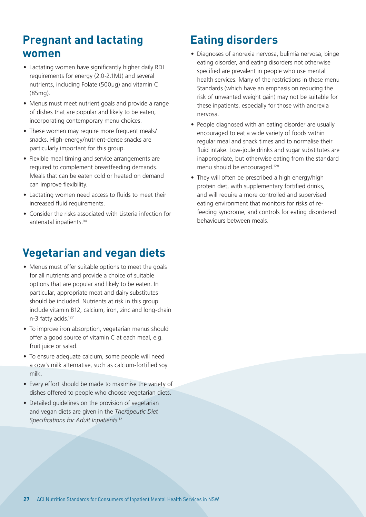## **Pregnant and lactating women**

- Lactating women have significantly higher daily RDI requirements for energy (2.0-2.1MJ) and several nutrients, including Folate (500µg) and vitamin C (85mg).
- Menus must meet nutrient goals and provide a range of dishes that are popular and likely to be eaten, incorporating contemporary menu choices.
- These women may require more frequent meals/ snacks. High-energy/nutrient-dense snacks are particularly important for this group.
- Flexible meal timing and service arrangements are required to complement breastfeeding demands. Meals that can be eaten cold or heated on demand can improve flexibility.
- Lactating women need access to fluids to meet their increased fluid requirements.
- Consider the risks associated with Listeria infection for antenatal inpatients.94

## **Vegetarian and vegan diets**

- Menus must offer suitable options to meet the goals for all nutrients and provide a choice of suitable options that are popular and likely to be eaten. In particular, appropriate meat and dairy substitutes should be included. Nutrients at risk in this group include vitamin B12, calcium, iron, zinc and long-chain n-3 fatty acids.127
- To improve iron absorption, vegetarian menus should offer a good source of vitamin C at each meal, e.g. fruit juice or salad.
- To ensure adequate calcium, some people will need a cow's milk alternative, such as calcium-fortified soy milk.
- Every effort should be made to maximise the variety of dishes offered to people who choose vegetarian diets.
- Detailed guidelines on the provision of vegetarian and vegan diets are given in the *Therapeutic Diet Specifications for Adult Inpatients*. 12

## **Eating disorders**

- Diagnoses of anorexia nervosa, bulimia nervosa, binge eating disorder, and eating disorders not otherwise specified are prevalent in people who use mental health services. Many of the restrictions in these menu Standards (which have an emphasis on reducing the risk of unwanted weight gain) may not be suitable for these inpatients, especially for those with anorexia nervosa.
- People diagnosed with an eating disorder are usually encouraged to eat a wide variety of foods within regular meal and snack times and to normalise their fluid intake. Low-joule drinks and sugar substitutes are inappropriate, but otherwise eating from the standard menu should be encouraged.128
- They will often be prescribed a high energy/high protein diet, with supplementary fortified drinks, and will require a more controlled and supervised eating environment that monitors for risks of refeeding syndrome, and controls for eating disordered behaviours between meals.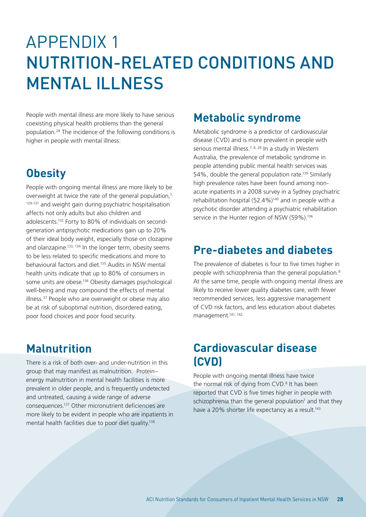## APPENDIX 1 NUTRITION-RELATED CONDITIONS AND MENTAL ILLNESS

People with mental illness are more likely to have serious coexisting physical health problems than the general population.28 The incidence of the following conditions is higher in people with mental illness:

## **Obesity**

People with ongoing mental illness are more likely to be overweight at twice the rate of the general population, $7$ , 129-131 and weight gain during psychiatric hospitalisation affects not only adults but also children and adolescents.132 Forty to 80% of individuals on secondgeneration antipsychotic medications gain up to 20% of their ideal body weight, especially those on clozapine and olanzapine.<sup>133, 134</sup> In the longer term, obesity seems to be less related to specific medications and more to behavioural factors and diet.135 Audits in NSW mental health units indicate that up to 80% of consumers in some units are obese.136 Obesity damages psychological well-being and may compound the effects of mental illness.37 People who are overweight or obese may also be at risk of suboptimal nutrition, disordered eating, poor food choices and poor food security.

## **Malnutrition**

There is a risk of both over- and under-nutrition in this group that may manifest as malnutrition. Protein– energy malnutrition in mental health facilities is more prevalent in older people, and is frequently undetected and untreated, causing a wide range of adverse consequences.137 Other micronutrient deficiencies are more likely to be evident in people who are inpatients in mental health facilities due to poor diet quality.138

## **Metabolic syndrome**

Metabolic syndrome is a predictor of cardiovascular disease (CVD) and is more prevalent in people with serious mental illness.<sup>7, 8, 29</sup> In a study in Western Australia, the prevalence of metabolic syndrome in people attending public mental health services was 54%, double the general population rate.139 Similarly high prevalence rates have been found among nonacute inpatients in a 2008 survey in a Sydney psychiatric rehabilitation hospital (52.4%)140 and in people with a psychotic disorder attending a psychiatric rehabilitation service in the Hunter region of NSW (59%).<sup>136</sup>

## **Pre-diabetes and diabetes**

The prevalence of diabetes is four to five times higher in people with schizophrenia than the general population.8 At the same time, people with ongoing mental illness are likely to receive lower quality diabetes care, with fewer recommended services, less aggressive management of CVD risk factors, and less education about diabetes management.141, 142

#### **Cardiovascular disease (CVD)**

People with ongoing mental illness have twice the normal risk of dying from CVD.<sup>8</sup> It has been reported that CVD is five times higher in people with schizophrenia than the general population<sup>7</sup> and that they have a 20% shorter life expectancy as a result.<sup>143</sup>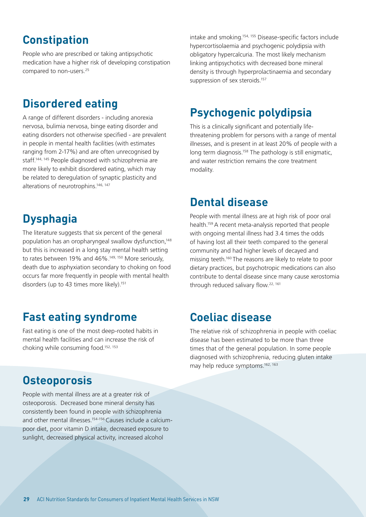## **Constipation**

People who are prescribed or taking antipsychotic medication have a higher risk of developing constipation compared to non-users.<sup>25</sup>

## **Disordered eating**

A range of different disorders - including anorexia nervosa, bulimia nervosa, binge eating disorder and eating disorders not otherwise specified - are prevalent in people in mental health facilities (with estimates ranging from 2-17%) and are often unrecognised by staff.144, 145 People diagnosed with schizophrenia are more likely to exhibit disordered eating, which may be related to deregulation of synaptic plasticity and alterations of neurotrophins.<sup>146, 147</sup>

## **Dysphagia**

The literature suggests that six percent of the general population has an oropharyngeal swallow dysfunction,<sup>148</sup> but this is increased in a long stay mental health setting to rates between 19% and 46%.<sup>149, 150</sup> More seriously, death due to asphyxiation secondary to choking on food occurs far more frequently in people with mental health disorders (up to 43 times more likely).<sup>151</sup>

#### **Fast eating syndrome**

Fast eating is one of the most deep-rooted habits in mental health facilities and can increase the risk of choking while consuming food.152, 153

#### **Osteoporosis**

People with mental illness are at a greater risk of osteoporosis. Decreased bone mineral density has consistently been found in people with schizophrenia and other mental illnesses.154-156 Causes include a calciumpoor diet, poor vitamin D intake, decreased exposure to sunlight, decreased physical activity, increased alcohol

intake and smoking.154, 155 Disease-specific factors include hypercortisolaemia and psychogenic polydipsia with obligatory hypercalcuria. The most likely mechanism linking antipsychotics with decreased bone mineral density is through hyperprolactinaemia and secondary suppression of sex steroids.<sup>157</sup>

## **Psychogenic polydipsia**

This is a clinically significant and potentially lifethreatening problem for persons with a range of mental illnesses, and is present in at least 20% of people with a long term diagnosis.<sup>158</sup> The pathology is still enigmatic, and water restriction remains the core treatment modality.

#### **Dental disease**

People with mental illness are at high risk of poor oral health.159 A recent meta-analysis reported that people with ongoing mental illness had 3.4 times the odds of having lost all their teeth compared to the general community and had higher levels of decayed and missing teeth.<sup>160</sup> The reasons are likely to relate to poor dietary practices, but psychotropic medications can also contribute to dental disease since many cause xerostomia through reduced salivary flow.<sup>22, 161</sup>

#### **Coeliac disease**

The relative risk of schizophrenia in people with coeliac disease has been estimated to be more than three times that of the general population. In some people diagnosed with schizophrenia, reducing gluten intake may help reduce symptoms.<sup>162, 163</sup>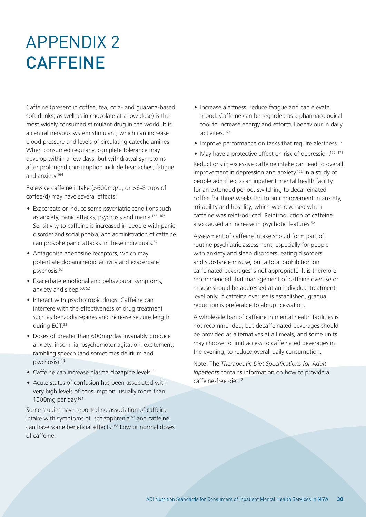## APPENDIX 2 **CAFFEINE**

Caffeine (present in coffee, tea, cola- and guarana-based soft drinks, as well as in chocolate at a low dose) is the most widely consumed stimulant drug in the world. It is a central nervous system stimulant, which can increase blood pressure and levels of circulating catecholamines. When consumed regularly, complete tolerance may develop within a few days, but withdrawal symptoms after prolonged consumption include headaches, fatigue and anxiety.164

Excessive caffeine intake (>600mg/d, or >6-8 cups of coffee/d) may have several effects:

- Exacerbate or induce some psychiatric conditions such as anxiety, panic attacks, psychosis and mania.165, 166 Sensitivity to caffeine is increased in people with panic disorder and social phobia, and administration of caffeine can provoke panic attacks in these individuals.<sup>52</sup>
- Antagonise adenosine receptors, which may potentiate dopaminergic activity and exacerbate psychosis.52
- Exacerbate emotional and behavioural symptoms, anxiety and sleep.<sup>50, 52</sup>
- Interact with psychotropic drugs. Caffeine can interfere with the effectiveness of drug treatment such as benzodiazepines and increase seizure length during ECT.<sup>33</sup>
- Doses of greater than 600mg/day invariably produce anxiety, insomnia, psychomotor agitation, excitement, rambling speech (and sometimes delirium and psychosis).<sup>33</sup>
- Caffeine can increase plasma clozapine levels.<sup>33</sup>
- Acute states of confusion has been associated with very high levels of consumption, usually more than 1000mg per day.164

Some studies have reported no association of caffeine intake with symptoms of schizophrenia<sup>167</sup> and caffeine can have some beneficial effects.168 Low or normal doses of caffeine:

- Increase alertness, reduce fatigue and can elevate mood. Caffeine can be regarded as a pharmacological tool to increase energy and effortful behaviour in daily activities.169
- Improve performance on tasks that require alertness.<sup>52</sup>
- May have a protective effect on risk of depression.<sup>170, 171</sup>

Reductions in excessive caffeine intake can lead to overall improvement in depression and anxiety.<sup>172</sup> In a study of people admitted to an inpatient mental health facility for an extended period, switching to decaffeinated coffee for three weeks led to an improvement in anxiety, irritability and hostility, which was reversed when caffeine was reintroduced. Reintroduction of caffeine also caused an increase in psychotic features.<sup>52</sup>

Assessment of caffeine intake should form part of routine psychiatric assessment, especially for people with anxiety and sleep disorders, eating disorders and substance misuse, but a total prohibition on caffeinated beverages is not appropriate. It is therefore recommended that management of caffeine overuse or misuse should be addressed at an individual treatment level only. If caffeine overuse is established, gradual reduction is preferable to abrupt cessation.

A wholesale ban of caffeine in mental health facilities is not recommended, but decaffeinated beverages should be provided as alternatives at all meals, and some units may choose to limit access to caffeinated beverages in the evening, to reduce overall daily consumption.

Note: The *Therapeutic Diet Specifications for Adult Inpatients* contains information on how to provide a caffeine-free diet<sup>12</sup>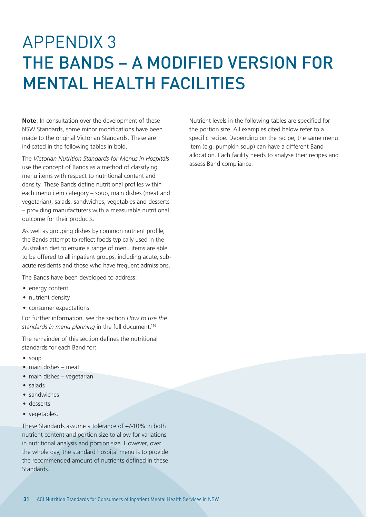## APPENDIX 3 THE BANDS – A MODIFIED VERSION FOR MENTAL HEALTH FACILITIES

**Note**: In consultation over the development of these NSW Standards, some minor modifications have been made to the original Victorian Standards. These are indicated in the following tables in bold.

The *Victorian Nutrition Standards for Menus in Hospitals* use the concept of Bands as a method of classifying menu items with respect to nutritional content and density. These Bands define nutritional profiles within each menu item category – soup, main dishes (meat and vegetarian), salads, sandwiches, vegetables and desserts – providing manufacturers with a measurable nutritional outcome for their products.

As well as grouping dishes by common nutrient profile, the Bands attempt to reflect foods typically used in the Australian diet to ensure a range of menu items are able to be offered to all inpatient groups, including acute, subacute residents and those who have frequent admissions.

The Bands have been developed to address:

- energy content
- nutrient density
- consumer expectations.

For further information, see the section *How to use the standards in menu planning* in the full document.116

The remainder of this section defines the nutritional standards for each Band for:

- soup
- main dishes meat
- main dishes vegetarian
- salads
- sandwiches
- desserts
- vegetables.

These Standards assume a tolerance of +/-10% in both nutrient content and portion size to allow for variations in nutritional analysis and portion size. However, over the whole day, the standard hospital menu is to provide the recommended amount of nutrients defined in these **Standards** 

Nutrient levels in the following tables are specified for the portion size. All examples cited below refer to a specific recipe. Depending on the recipe, the same menu item (e.g. pumpkin soup) can have a different Band allocation. Each facility needs to analyse their recipes and assess Band compliance.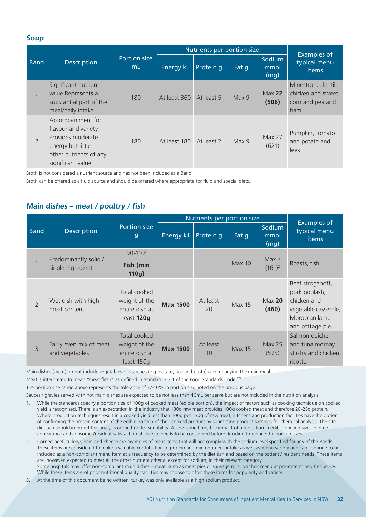#### **Soup**

|                |                                                                                                                                   |                           |              | Nutrients per portion size |       |                            |                                                                     |
|----------------|-----------------------------------------------------------------------------------------------------------------------------------|---------------------------|--------------|----------------------------|-------|----------------------------|---------------------------------------------------------------------|
| <b>Band</b>    | <b>Description</b>                                                                                                                | <b>Portion size</b><br>mL | Energy kJ    | Protein q                  | Fat q | Sodium<br>mmol<br>(mq)     | <b>Examples of</b><br>typical menu<br>items                         |
|                | Significant nutrient<br>value Represents a<br>substantial part of the<br>meal/daily intake                                        | 180                       | At least 360 | At least 5                 | Max 9 | Max <sub>22</sub><br>(506) | Minestrone, lentil,<br>chicken and sweet<br>corn and pea and<br>ham |
| $\overline{2}$ | Accompaniment for<br>flavour and variety<br>Provides moderate<br>energy but little<br>other nutrients of any<br>significant value | 180                       | At least 180 | At least 2                 | Max 9 | <b>Max 27</b><br>(621)     | Pumpkin, tomato<br>and potato and<br>leek                           |

Broth is not considered a nutrient source and has not been included as a Band.

Broth can be offered as a fluid source and should be offered where appropriate for fluid and special diets.

#### **Main dishes – meat / poultry / fish**

|             |                                            |                                                               |                 |                | Nutrients per portion size |                            |                                                                                                              |  |  |
|-------------|--------------------------------------------|---------------------------------------------------------------|-----------------|----------------|----------------------------|----------------------------|--------------------------------------------------------------------------------------------------------------|--|--|
| <b>Band</b> | <b>Description</b>                         | Portion size<br>$\mathbf{g}$                                  | Energy kJ       | Protein q      | Fat q                      | Sodium<br>mmol<br>(mg)     | <b>Examples of</b><br>typical menu<br>items                                                                  |  |  |
|             | Predominantly solid /<br>single ingredient | $90 - 110$ <sup>1</sup><br>Fish (min<br>110g)                 |                 |                | Max 10                     | Max 7<br>$(161)^2$         | Roasts, fish                                                                                                 |  |  |
| 2           | Wet dish with high<br>meat content         | Total cooked<br>weight of the<br>entire dish at<br>least 120g | <b>Max 1500</b> | At least<br>20 | <b>Max 15</b>              | Max <sub>20</sub><br>(460) | Beef stroganoff,<br>pork goulash,<br>chicken and<br>vegetable casserole,<br>Moroccan lamb<br>and cottage pie |  |  |
| 3           | Fairly even mix of meat<br>and vegetables  | Total cooked<br>weight of the<br>entire dish at<br>least 150g | <b>Max 1500</b> | At least<br>10 | <b>Max 15</b>              | <b>Max 25</b><br>(575)     | Salmon quiche<br>and tuna mornay,<br>stir-fry and chicken<br>risotto                                         |  |  |

Main dishes (meat) do not include vegetables or starches (e.g. potato, rice and pasta) accompanying the main meal.

Meat is interpreted to mean "meat flesh" as defined in Standard 2.2.1 of the Food Standards Code 173

The portion size range above represents the tolerance of +/-10% in portion size noted on the previous page.

Sauces / gravies served with hot main dishes are expected to be not less than 40mL per serve but are not included in the nutrition analysis.

- 1. While the standards specify a portion size of 100g of cooked meat (edible portion), the impact of factors such as cooking technique on cooked yield is recognised. There is an expectation in the industry that 130g raw meat provides 100g cooked meat and therefore 20-25g protein. Where production techniques result in a cooked yield less than 100g per 130g of raw meat, kitchens and production facilities have the option of confirming the protein content of the edible portion of their cooked product by submitting product samples for chemical analysis. The site dietitian should interpret this analysis or method for suitability. At the same time, the impact of a reduction in edible portion size on plate appearance and consumer/resident satisfaction at the site needs to be considered before deciding to reduce the portion sizes.
- 2. Corned beef, turkey<sup>3</sup>, ham and cheese are examples of meat items that will not comply with the sodium level specified for any of the Bands. These items are considered to make a valuable contribution to protein and micronutrient intake as well as menu variety and can continue to be included as a non-compliant menu item at a frequency to be determined by the dietitian and based on the patient / resident needs. These items are, however, expected to meet all the other nutrient criteria, except for sodium, in their relevant category. Some hospitals may offer non-compliant main dishes – meat, such as meat pies or sausage rolls, on their menu at pre-determined frequency.

While these items are of poor nutritional quality, facilities may choose to offer these items for popularity and variety.

3. At the time of this document being written, turkey was only available as a high sodium product.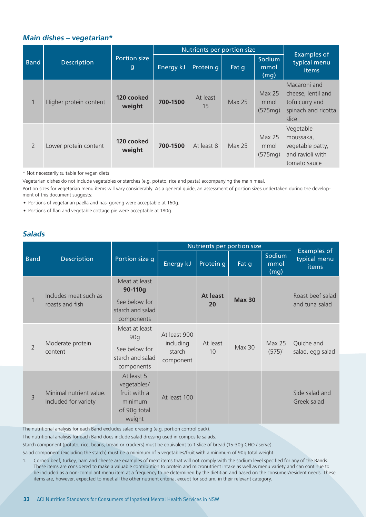#### **Main dishes – vegetarian\***

|                |                        |                                     |           | Nutrients per portion size |               |                                      |                                                                                      |  |
|----------------|------------------------|-------------------------------------|-----------|----------------------------|---------------|--------------------------------------|--------------------------------------------------------------------------------------|--|
| <b>Band</b>    | <b>Description</b>     | <b>Portion size</b><br>$\mathbf{g}$ | Energy kJ | Protein q                  | Fat q         | Sodium<br>mmol<br>(mg)               | <b>Examples of</b><br>typical menu<br>items                                          |  |
| 1              | Higher protein content | 120 cooked<br>weight                | 700-1500  | At least<br>15             | <b>Max 25</b> | Max <sub>25</sub><br>mmol<br>(575mg) | Macaroni and<br>cheese, lentil and<br>tofu curry and<br>spinach and ricotta<br>slice |  |
| $\overline{2}$ | Lower protein content  | 120 cooked<br>weight                | 700-1500  | At least 8                 | <b>Max 25</b> | Max 25<br>mmol<br>(575mg)            | Vegetable<br>moussaka,<br>vegetable patty,<br>and ravioli with<br>tomato sauce       |  |

\* Not necessarily suitable for vegan diets

Vegetarian dishes do not include vegetables or starches (e.g. potato, rice and pasta) accompanying the main meal.

Portion sizes for vegetarian menu items will vary considerably. As a general guide, an assessment of portion sizes undertaken during the development of this document suggests:

- Portions of vegetarian paella and nasi goreng were acceptable at 160g.
- Portions of flan and vegetable cottage pie were acceptable at 180g.

#### **Salads**

|                |                                                 |                                                                                |                                                  | Nutrients per portion size |                |                            |                                             |
|----------------|-------------------------------------------------|--------------------------------------------------------------------------------|--------------------------------------------------|----------------------------|----------------|----------------------------|---------------------------------------------|
| <b>Band</b>    | <b>Description</b>                              | Portion size g                                                                 | Energy kJ                                        | Protein g                  | Fat g          | Sodium<br>mmol<br>(mg)     | <b>Examples of</b><br>typical menu<br>items |
|                | Includes meat such as                           | Meat at least<br>90-110g                                                       |                                                  |                            |                |                            | Roast beef salad                            |
| $\mathbf{1}$   | roasts and fish                                 | <b>At least</b><br>See below for<br>20<br>starch and salad<br>components       | <b>Max 30</b>                                    |                            | and tuna salad |                            |                                             |
| $\overline{2}$ | Moderate protein<br>content                     | Meat at least<br>90q<br>See below for<br>starch and salad<br>components        | At least 900<br>including<br>starch<br>component | At least<br>10             | <b>Max 30</b>  | <b>Max 25</b><br>$(575)^1$ | Quiche and<br>salad, egg salad              |
| 3              | Minimal nutrient value.<br>Included for variety | At least 5<br>vegetables/<br>fruit with a<br>minimum<br>of 90g total<br>weight | At least 100                                     |                            |                |                            | Side salad and<br>Greek salad               |

The nutritional analysis for each Band excludes salad dressing (e.g. portion control pack).

The nutritional analysis for each Band does include salad dressing used in composite salads.

Starch component (potato, rice, beans, bread or crackers) must be equivalent to 1 slice of bread (15-30g CHO / serve).

Salad component (excluding the starch) must be a minimum of 5 vegetables/fruit with a minimum of 90g total weight.

1. Corned beef, turkey, ham and cheese are examples of meat items that will not comply with the sodium level specified for any of the Bands. These items are considered to make a valuable contribution to protein and micronutrient intake as well as menu variety and can continue to be included as a non-compliant menu item at a frequency to be determined by the dietitian and based on the consumer/resident needs. These items are, however, expected to meet all the other nutrient criteria, except for sodium, in their relevant category.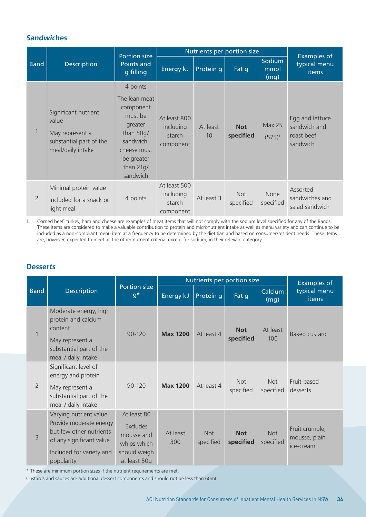#### **Sandwiches**

|                |                                                                                                  |                                                                                                                                  | Nutrients per portion size<br><b>Portion size</b> |                |                         |                            |                                                           |
|----------------|--------------------------------------------------------------------------------------------------|----------------------------------------------------------------------------------------------------------------------------------|---------------------------------------------------|----------------|-------------------------|----------------------------|-----------------------------------------------------------|
| <b>Band</b>    | <b>Description</b>                                                                               | Points and<br>g filling                                                                                                          | Energy kJ                                         | Protein q      | Fat q                   | Sodium<br>mmol<br>(mg)     | <b>Examples of</b><br>typical menu<br>items               |
|                |                                                                                                  | 4 points                                                                                                                         |                                                   |                |                         |                            |                                                           |
|                | Significant nutrient<br>value<br>May represent a<br>substantial part of the<br>meal/daily intake | The lean meat<br>component<br>must be<br>greater<br>than 50g/<br>sandwich,<br>cheese must<br>be greater<br>than 21g/<br>sandwich | At least 800<br>including<br>starch<br>component  | At least<br>10 | <b>Not</b><br>specified | <b>Max 25</b><br>$(575)^1$ | Egg and lettuce<br>sandwich and<br>roast beef<br>sandwich |
| $\overline{2}$ | Minimal protein value<br>Included for a snack or<br>light meal                                   | 4 points                                                                                                                         | At least 500<br>including<br>starch<br>component  | At least 3     | <b>Not</b><br>specified | None<br>specified          | Assorted<br>sandwiches and<br>salad sandwich              |

1. Corned beef, turkey, ham and cheese are examples of meat items that will not comply with the sodium level specified for any of the Bands. These items are considered to make a valuable contribution to protein and micronutrient intake as well as menu variety and can continue to be included as a non-compliant menu item at a frequency to be determined by the dietitian and based on consumer/resident needs. These items are, however, expected to meet all the other nutrient criteria, except for sodium, in their relevant category.

#### **Desserts**

|                |                                                                                                                                                     |                                                                                             |                 | Nutrients per portion size |                         |                         | <b>Examples of</b>                           |
|----------------|-----------------------------------------------------------------------------------------------------------------------------------------------------|---------------------------------------------------------------------------------------------|-----------------|----------------------------|-------------------------|-------------------------|----------------------------------------------|
| <b>Band</b>    | <b>Description</b>                                                                                                                                  | Portion size<br>$g^*$                                                                       | Energy kJ       | Protein q                  | Fat q                   | Calcium<br>(mg)         | typical menu<br>items                        |
| $\mathbf{1}$   | Moderate energy, high<br>protein and calcium<br>content<br>May represent a<br>substantial part of the<br>meal / daily intake                        | 90-120                                                                                      | <b>Max 1200</b> | At least 4                 | <b>Not</b><br>specified | At least<br>100         | <b>Baked custard</b>                         |
| $\overline{2}$ | Significant level of<br>energy and protein<br>May represent a<br>substantial part of the<br>meal / daily intake                                     | 90-120                                                                                      | <b>Max 1200</b> | At least 4                 | <b>Not</b><br>specified | <b>Not</b><br>specified | Fruit-based<br>desserts                      |
| 3              | Varying nutrient value.<br>Provide moderate energy<br>but few other nutrients<br>of any significant value<br>Included for variety and<br>popularity | At least 80<br><b>Excludes</b><br>mousse and<br>whips which<br>should weigh<br>at least 50g | At least<br>300 | Not<br>specified           | <b>Not</b><br>specified | <b>Not</b><br>specified | Fruit crumble,<br>mousse, plain<br>ice-cream |

\* These are minimum portion sizes if the nutrient requirements are met.

Custards and sauces are additional dessert components and should not be less than 60mL.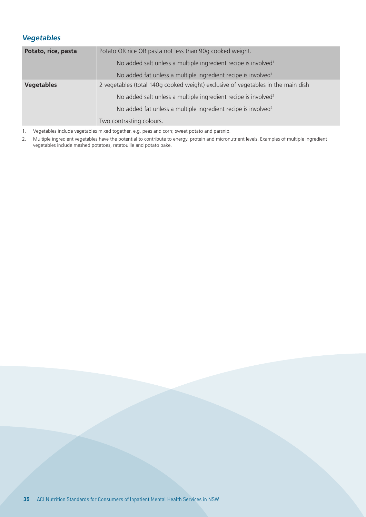#### **Vegetables**

| Potato, rice, pasta | Potato OR rice OR pasta not less than 90g cooked weight.                         |
|---------------------|----------------------------------------------------------------------------------|
|                     | No added salt unless a multiple ingredient recipe is involved <sup>1</sup>       |
|                     | No added fat unless a multiple ingredient recipe is involved <sup>1</sup>        |
| <b>Vegetables</b>   | 2 vegetables (total 140g cooked weight) exclusive of vegetables in the main dish |
|                     | No added salt unless a multiple ingredient recipe is involved <sup>2</sup>       |
|                     | No added fat unless a multiple ingredient recipe is involved <sup>2</sup>        |
|                     | Two contrasting colours.                                                         |

1. Vegetables include vegetables mixed together, e.g. peas and corn; sweet potato and parsnip.

2. Multiple ingredient vegetables have the potential to contribute to energy, protein and micronutrient levels. Examples of multiple ingredient vegetables include mashed potatoes, ratatouille and potato bake.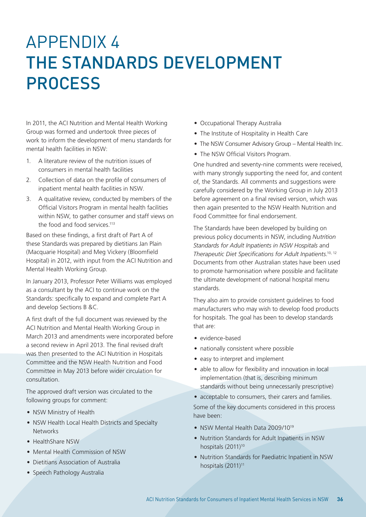## APPENDIX 4 THE STANDARDS DEVELOPMENT PROCESS

In 2011, the ACI Nutrition and Mental Health Working Group was formed and undertook three pieces of work to inform the development of menu standards for mental health facilities in NSW:

- 1. A literature review of the nutrition issues of consumers in mental health facilities
- 2. Collection of data on the profile of consumers of inpatient mental health facilities in NSW.
- 3. A qualitative review, conducted by members of the Official Visitors Program in mental health facilities within NSW, to gather consumer and staff views on the food and food services.<sup>113</sup>

Based on these findings, a first draft of Part A of these Standards was prepared by dietitians Jan Plain (Macquarie Hospital) and Meg Vickery (Bloomfield Hospital) in 2012, with input from the ACI Nutrition and Mental Health Working Group.

In January 2013, Professor Peter Williams was employed as a consultant by the ACI to continue work on the Standards: specifically to expand and complete Part A and develop Sections B &C.

A first draft of the full document was reviewed by the ACI Nutrition and Mental Health Working Group in March 2013 and amendments were incorporated before a second review in April 2013. The final revised draft was then presented to the ACI Nutrition in Hospitals Committee and the NSW Health Nutrition and Food Committee in May 2013 before wider circulation for consultation.

The approved draft version was circulated to the following groups for comment:

- NSW Ministry of Health
- NSW Health Local Health Districts and Specialty **Networks**
- HealthShare NSW
- Mental Health Commission of NSW
- Dietitians Association of Australia
- Speech Pathology Australia
- Occupational Therapy Australia
- The Institute of Hospitality in Health Care
- The NSW Consumer Advisory Group Mental Health Inc.
- The NSW Official Visitors Program.

One hundred and seventy-nine comments were received, with many strongly supporting the need for, and content of, the Standards. All comments and suggestions were carefully considered by the Working Group in July 2013 before agreement on a final revised version, which was then again presented to the NSW Health Nutrition and Food Committee for final endorsement.

The Standards have been developed by building on previous policy documents in NSW, including *Nutrition Standards for Adult Inpatients in NSW Hospitals* and *Therapeutic Diet Specifications for Adult Inpatients*. 10, 12 Documents from other Australian states have been used to promote harmonisation where possible and facilitate the ultimate development of national hospital menu standards.

They also aim to provide consistent guidelines to food manufacturers who may wish to develop food products for hospitals. The goal has been to develop standards that are:

- evidence-based
- nationally consistent where possible
- easy to interpret and implement
- able to allow for flexibility and innovation in local implementation (that is, describing minimum standards without being unnecessarily prescriptive)

• acceptable to consumers, their carers and families. Some of the key documents considered in this process have been:

- NSW Mental Health Data 2009/10<sup>19</sup>
- Nutrition Standards for Adult Inpatients in NSW hospitals (2011)<sup>10</sup>
- Nutrition Standards for Paediatric Inpatient in NSW hospitals (2011)<sup>11</sup>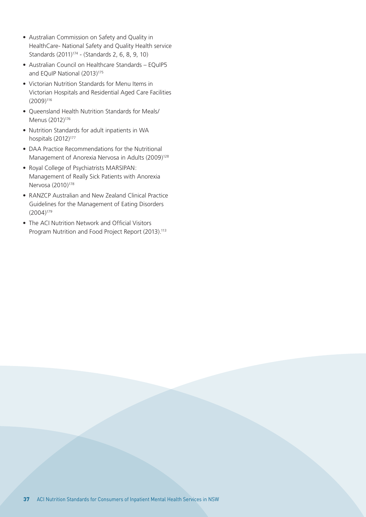- Australian Commission on Safety and Quality in HealthCare- National Safety and Quality Health service Standards (2011)<sup>174</sup> - (Standards 2, 6, 8, 9, 10)
- Australian Council on Healthcare Standards EQuIP5 and EQuIP National (2013)<sup>175</sup>
- Victorian Nutrition Standards for Menu Items in Victorian Hospitals and Residential Aged Care Facilities (2009)116
- Queensland Health Nutrition Standards for Meals/ Menus (2012)<sup>176</sup>
- Nutrition Standards for adult inpatients in WA hospitals (2012)<sup>177</sup>
- DAA Practice Recommendations for the Nutritional Management of Anorexia Nervosa in Adults (2009)<sup>128</sup>
- Royal College of Psychiatrists MARSIPAN: Management of Really Sick Patients with Anorexia Nervosa (2010)<sup>178</sup>
- RANZCP Australian and New Zealand Clinical Practice Guidelines for the Management of Eating Disorders (2004)179
- The ACI Nutrition Network and Official Visitors Program Nutrition and Food Project Report (2013).<sup>113</sup>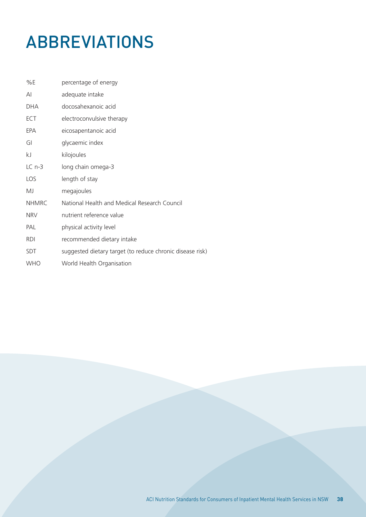## ABBREVIATIONS

| %E           | percentage of energy                                      |
|--------------|-----------------------------------------------------------|
| AI           | adequate intake                                           |
| <b>DHA</b>   | docosahexanoic acid                                       |
| ECT          | electroconvulsive therapy                                 |
| EPA          | eicosapentanoic acid                                      |
| GI           | glycaemic index                                           |
| kJ           | kilojoules                                                |
| $LCn-3$      | long chain omega-3                                        |
| LOS          | length of stay                                            |
| MJ           | megajoules                                                |
| <b>NHMRC</b> | National Health and Medical Research Council              |
| <b>NRV</b>   | nutrient reference value                                  |
| PAL          | physical activity level                                   |
| <b>RDI</b>   | recommended dietary intake                                |
| <b>SDT</b>   | suggested dietary target (to reduce chronic disease risk) |
| <b>WHO</b>   | World Health Organisation                                 |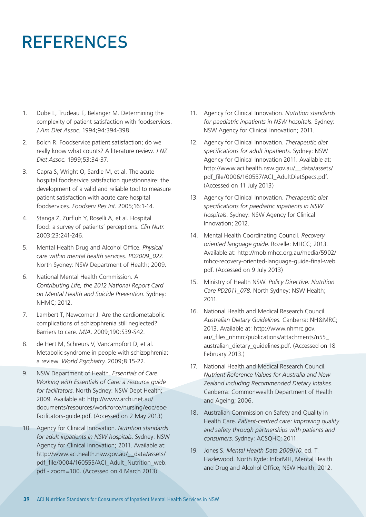## REFERENCES

- 1. Dube L, Trudeau E, Belanger M. Determining the complexity of patient satisfaction with foodservices. *J Am Diet Assoc*. 1994;94:394-398.
- 2. Bolch R. Foodservice patient satisfaction; do we really know what counts? A literature review. *J NZ Diet Assoc*. 1999;53:34-37.
- 3. Capra S, Wright O, Sardie M, et al. The acute hospital foodservice satisfaction questionnaire: the development of a valid and reliable tool to measure patient satisfaction with acute care hospital foodservices. *Foodserv Res Int*. 2005;16:1-14.
- 4. Stanga Z, Zurfluh Y, Roselli A, et al. Hospital food: a survey of patients' perceptions. *Clin Nutr*. 2003;23:241-246.
- 5. Mental Health Drug and Alcohol Office. *Physical care within mental health services. PD2009\_027*. North Sydney: NSW Department of Health; 2009.
- 6. National Mental Health Commission. A *Contributing Life, the 2012 National Report Card on Mental Health and Suicide Prevention*. Sydney: NHMC; 2012.
- 7. Lambert T, Newcomer J. Are the cardiometabolic complications of schizophrenia still neglected? Barriers to care. *MJA*. 2009;190:S39-S42.
- 8. de Hert M, Schreurs V, Vancampfort D, et al. Metabolic syndrome in people with schizophrenia: a review. *World Psychiatry*. 2009;8:15-22.
- 9. NSW Department of Health. *Essentials of Care. Working with Essentials of Care: a resource guide for facilitators*. North Sydney: NSW Dept Health; 2009. Available at: http://www.archi.net.au/ documents/resources/workforce/nursing/eoc/eocfacilitators-guide.pdf. (Accessed on 2 May 2013)
- 10. Agency for Clinical Innovation. *Nutrition standards for adult inpatients in NSW hospitals*. Sydney: NSW Agency for Clinical Innovation; 2011. Available at: http://www.aci.health.nsw.gov.au/\_\_data/assets/ pdf\_file/0004/160555/ACI\_Adult\_Nutrition\_web. pdf - zoom=100. (Accessed on 4 March 2013)
- 11. Agency for Clinical Innovation. *Nutrition standards for paediatric inpatients in NSW hospitals*. Sydney: NSW Agency for Clinical Innovation; 2011.
- 12. Agency for Clinical Innovation. *Therapeutic diet specifications for adult inpatients*. Sydney: NSW Agency for Clinical Innovation 2011. Available at: http://www.aci.health.nsw.gov.au/\_\_data/assets/ pdf\_file/0006/160557/ACI\_AdultDietSpecs.pdf. (Accessed on 11 July 2013)
- 13. Agency for Clinical Innovation. *Therapeutic diet specifications for paediatric inpatients in NSW hospitals*. Sydney: NSW Agency for Clinical Innovation; 2012.
- 14. Mental Health Coordinating Council. *Recovery oriented language guide*. Rozelle: MHCC; 2013. Available at: http://mob.mhcc.org.au/media/5902/ mhcc-recovery-oriented-language-guide-final-web. pdf. (Accessed on 9 July 2013)
- 15. Ministry of Health NSW. *Policy Directive: Nutrition Care PD2011\_078*. North Sydney: NSW Health; 2011.
- 16. National Health and Medical Research Council. *Australian Dietary Guidelines*. Canberra: NH&MRC; 2013. Available at: http://www.nhmrc.gov. au/\_files\_nhmrc/publications/attachments/n55\_ australian\_dietary\_guidelines.pdf. (Accessed on 18 February 2013.)
- 17. National Health and Medical Research Council. *Nutrient Reference Values for Australia and New Zealand including Recommended Dietary Intakes*. Canberra: Commonwealth Department of Health and Ageing; 2006.
- 18. Australian Commission on Safety and Quality in Health Care. *Patient-centred care: Improving quality and safety through partnerships with patients and consumers*. Sydney: ACSQHC; 2011.
- 19. Jones S. *Mental Health Data 2009/10*. ed. T. Hazlewood. North Ryde: InforMH, Mental Health and Drug and Alcohol Office, NSW Health; 2012.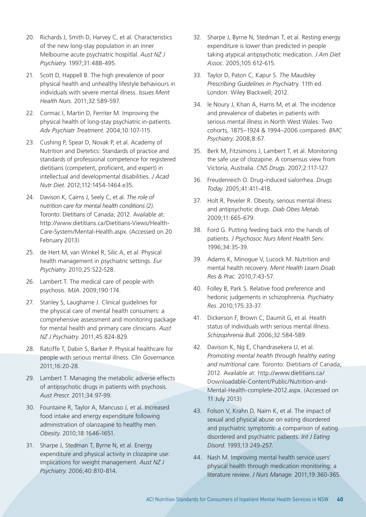- 20. Richards J, Smith D, Harvey C, et al. Characteristics of the new long-stay population in an inner Melbourne acute psychiatric hospitlal. *Aust NZ J Psychiatry*. 1997;31:488-495.
- 21. Scott D, Happell B. The high prevalence of poor physical health and unhealthy lifestyle behaviours in individuals with severe mental illness. *Issues Ment Health Nurs*. 2011;32:589-597.
- 22. Cormac I, Martin D, Ferriter M. Improving the physical health of long-stay psychiatric in-patients. *Adv Psychiatr Treatment*. 2004;10:107-115.
- 23. Cushing P, Spear D, Novak P, et al. Academy of Nutrition and Dietetics: Standards of practice and standards of professional competence for registered dietitians (competent, proficient, and expert) in intellectual and developmental disabilities. *J Acad Nutr Diet*. 2012;112:1454-1464.e35.
- 24. Davison K, Cairns J, Seely C, et al. *The role of nutrition care for mental health conditions (2)*. Toronto: Dietitians of Canada; 2012. Available at: http://www.dietitians.ca/Dietitians-Views/Health-Care-System/Mental-Health.aspx. (Accessed on 20 February 2013)
- 25. de Hert M, van Winkel R, Silic A, et al. Physical health management in psychiatric settings. *Eur Psychiatry*. 2010;25:S22-S28.
- 26. Lambert T. The medical care of people with psychosis. *MJA*. 2009;190:174.
- 27. Stanley S, Laugharne J. Clinical guidelines for the physical care of mental health consumers: a comprehensive assessment and monitoring package for mental health and primary care clinicians. *Aust NZ J Psychiatry*. 2011;45:824-829.
- 28. Ratciffe T, Dabin S, Barker P. Physical healthcare for people with serious mental illness. *Clin Governance*. 2011;16:20-28.
- 29. Lambert T. Managing the metabolic adverse effects of antipsychotic drugs in patients with psychosis. *Aust Prescr*. 2011;34:97-99.
- 30. Fountaine R, Taylor A, Mancuso J, et al. Increased food intake and energy expenditure following administration of olanzapine to healthy men. *Obesity*. 2010;18:1646-1651.
- 31. Sharpe J, Stedman T, Byrne N, et al. Energy expenditure and physical activity in clozapine use: implications for weight management. *Aust NZ J Psychiatry*. 2006;40:810-814.
- 32. Sharpe J, Byrne N, Stedman T, et al. Resting energy expenditure is lower than predicted in people taking atypical antipsychotic medication. *J Am Diet Assoc*. 2005;105:612-615.
- 33. Taylor D, Paton C, Kapur S. *The Maudsley Prescribing Guidelines in Psychiatr*y. 11th ed. London: Wiley Blackwell; 2012.
- 34. le Noury J, Khan A, Harris M, et al. The incidence and prevalence of diabetes in patients with serious mental illness in North West Wales: Two cohorts, 1875–1924 & 1994–2006 compared. *BMC Psychiatry*. 2008;8:67.
- 35. Berk M, Fitzsimons J, Lambert T, et al. Monitoring the safe use of clozapine. A consensus view from Victoria, Australia. *CNS Drugs*. 2007;2:117-127.
- 36. Freudenreich O. Drug-induced sialorrhea. *Drugs Today*. 2005;41:411-418.
- 37. Holt R, Peveler R. Obesity, serious mental illness and antipsychotic drugs. *Diab Obes Metab.* 2009;11:665-679.
- 38. Ford G. Putting feeding back into the hands of patients. *J Psychosoc Nurs Ment Health Serv*. 1996;34:35-39.
- 39. Adams K, Minogue V, Lucock M. Nutrition and mental health recovery. *Ment Health Learn Disab Res & Prac*. 2010;7:43-57.
- 40. Folley B, Park S. Relative food preference and hedonic judgements in schizophrenia. *Psychiatry Res*. 2010;175:33-37.
- 41. Dickerson F, Brown C, Daumit G, et al. Health status of individuals with serious mental illness. *Schizophrenia Bull*. 2006;32:584-589.
- 42. Davison K, Ng E, Chandrasekera U, et al. *Promoting mental health through healthy eating and nutritional care.* Toronto: Dietitians of Canada; 2012. Available at: http://www.dietitians.ca/ Downloadable-Content/Public/Nutrition-and-Mental-Health-complete-2012.aspx. (Accessed on 11 July 2013)
- 43. Folson V, Krahn D, Nairn K, et al. The impact of sexual and physical abuse on eating disordered and psychiatric symptoms: a comparison of eating disordered and psychiatric patients. *Int J Eating Disord*. 1993;13:249-257.
- 44. Nash M. Improving mental health service users' physical health through medication monitoring: a literature review. *J Nurs Manage*. 2011;19:360-365.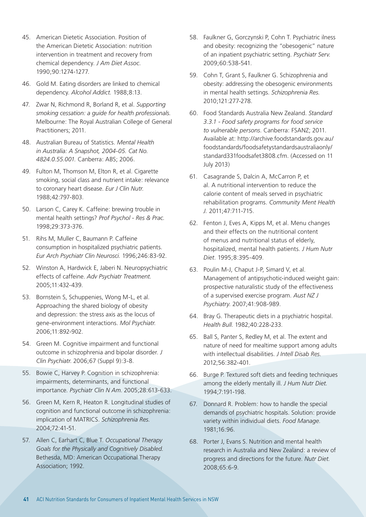- 45. American Dietetic Association. Position of the American Dietetic Association: nutrition intervention in treatment and recovery from chemical dependency. *J Am Diet Assoc*. 1990;90:1274-1277.
- 46. Gold M. Eating disorders are linked to chemical dependency. *Alcohol Addict.* 1988;8:13.
- 47. Zwar N, Richmond R, Borland R, et al. *Supporting smoking cessation: a guide for health professionals.*  Melbourne: The Royal Australian College of General Practitioners; 2011.
- 48. Australian Bureau of Statistics. *Mental Health in Australia: A Snapshot, 2004-05. Cat No. 4824.0.55.001.* Canberra: ABS; 2006.
- 49. Fulton M, Thomson M, Elton R, et al. Cigarette smoking, social class and nutrient intake: relevance to coronary heart disease. *Eur J Clin Nutr.* 1988;42:797-803.
- 50. Larson C, Carey K. Caffeine: brewing trouble in mental health settings? *Prof Psychol - Res & Prac.*  1998;29:373-376.
- 51. Rihs M, Muller C, Baumann P. Caffeine consumption in hospitalized psychiatric patients. *Eur Arch Psychiatr Clin Neurosci.* 1996;246:83-92.
- 52. Winston A, Hardwick E, Jaberi N. Neuropsychiatric effects of caffeine. *Adv Psychiatr Treatment.*  2005;11:432-439.
- 53. Bornstein S, Schuppenies, Wong M-L, et al. Approaching the shared biology of obesity and depression: the stress axis as the locus of gene-environment interactions. *Mol Psychiatr.* 2006;11:892-902.
- 54. Green M. Cognitive impairment and functional outcome in schizophrenia and bipolar disorder. *J Clin Psychiatr*. 2006;67 (Suppl 9):3-8.
- 55. Bowie C, Harvey P. Cognition in schizophrenia: impairments, determinants, and functional importance. *Psychiatr Clin N Am*. 2005;28:613-633.
- 56. Green M, Kern R, Heaton R. Longitudinal studies of cognition and functional outcome in schizophrenia: implication of MATRICS. *Schizophrenia Res.*  2004;72:41-51.
- 57. Allen C, Earhart C, Blue T. *Occupational Therapy Goals for the Physically and Cognitively Disabled*. Bethesda, MD: American Occupational Therapy Association; 1992.
- 58. Faulkner G, Gorczynski P, Cohn T. Psychiatric ilness and obesity: recognizing the "obesogenic" nature of an inpatient psychiatric setting. *Psychiatr Serv.* 2009;60:538-541.
- 59. Cohn T, Grant S, Faulkner G. Schizophrenia and obesity: addressing the obesogenic environments in mental health settings. *Schizophrenia Res.*  2010;121:277-278.
- 60. Food Standards Australia New Zealand. *Standard 3.3.1 - Food safety programs for food service to vulnerable persons*. Canberra: FSANZ; 2011. Available at: http://archive.foodstandards.gov.au/ foodstandards/foodsafetystandardsaustraliaonly/ standard331foodsafet3808.cfm. (Accessed on 11 July 2013)
- 61. Casagrande S, Dalcin A, McCarron P, et al. A nutritional intervention to reduce the calorie content of meals served in psychiatric rehabilitation programs. *Community Ment Health J.* 2011;47:711-715.
- 62. Fenton J, Eves A, Kipps M, et al. Menu changes and their effects on the nutritional content of menus and nutritional status of elderly, hospitalized, mental health patients. *J Hum Nutr Diet*. 1995;8:395-409.
- 63. Poulin M-J, Chaput J-P, Simard V, et al. Management of antipsychotic-induced weight gain: prospective naturalistic study of the effectiveness of a supervised exercise program. *Aust NZ J Psychiatry*. 2007;41:908-989.
- 64. Bray G. Therapeutic diets in a psychiatric hospital. *Health Bull*. 1982;40:228-233.
- 65. Ball S, Panter S, Redley M, et al. The extent and nature of need for mealtime support among adults with intellectual disabilities. *J Intell Disab Res*. 2012;56:382-401.
- 66. Burge P. Textured soft diets and feeding techniques among the elderly mentally ill. *J Hum Nutr Diet.* 1994;7:191-198.
- 67. Donnard R. Problem: how to handle the special demands of psychiatric hospitals. Solution: provide variety within individual diets. *Food Manage*. 1981;16:96.
- 68. Porter J, Evans S. Nutrition and mental health research in Australia and New Zealand: a review of progress and directions for the future. *Nutr Diet.* 2008;65:6-9.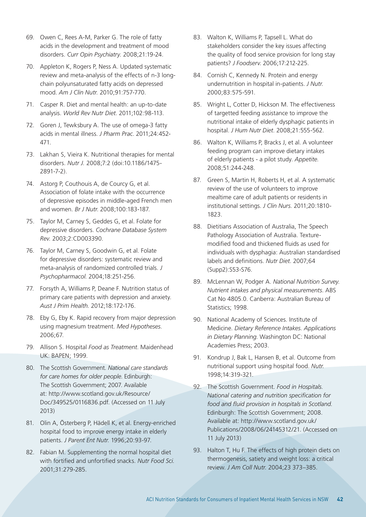- 69. Owen C, Rees A-M, Parker G. The role of fatty acids in the development and treatment of mood disorders. *Curr Opin Psychiatry.* 2008;21:19-24.
- 70. Appleton K, Rogers P, Ness A. Updated systematic review and meta-analysis of the effects of n-3 longchain polyunsaturated fatty acids on depressed mood. *Am J Clin Nutr.* 2010;91:757-770.
- 71. Casper R. Diet and mental health: an up-to-date analysis. *World Rev Nutr Diet*. 2011;102:98-113.
- 72. Goren J, Tewksbury A. The use of omega-3 fatty acids in mental illness. *J Pharm Prac*. 2011;24:452- 471.
- 73. Lakhan S, Vieira K. Nutritional therapies for mental disorders. *Nutr J.* 2008;7:2 (doi:10.1186/1475- 2891-7-2).
- 74. Astorg P, Couthouis A, de Courcy G, et al. Association of folate intake with the occurrence of depressive episodes in middle-aged French men and women. *Br J Nutr*. 2008;100:183-187.
- 75. Taylor M, Carney S, Geddes G, et al. Folate for depressive disorders. *Cochrane Database System Rev.* 2003;2:CD003390.
- 76. Taylor M, Carney S, Goodwin G, et al. Folate for depressive disorders: systematic review and meta-analysis of randomized controlled trials. *J Psychopharmacol*. 2004;18:251-256.
- 77. Forsyth A, Williams P, Deane F. Nutrition status of primary care patients with depression and anxiety. *Aust J Prim Health*. 2012;18:172-176.
- 78. Eby G, Eby K. Rapid recovery from major depression using magnesium treatment. *Med Hypotheses*. 2006;67.
- 79. Allison S. Hospital *Food as Treatment*. Maidenhead UK: BAPEN; 1999.
- 80. The Scottish Government. *National care standards for care homes for older people*. Edinburgh: The Scottish Government; 2007. Available at: http://www.scotland.gov.uk/Resource/ Doc/349525/0116836.pdf. (Accessed on 11 July 2013)
- 81. Olin A, Österberg P, Hädell K, et al. Energy-enriched hospital food to improve energy intake in elderly patients. *J Parent Ent Nutr*. 1996;20:93-97.
- 82. Fabian M. Supplementing the normal hospital diet with fortified and unfortified snacks. *Nutr Food Sci*. 2001;31:279-285.
- 83. Walton K, Williams P, Tapsell L. What do stakeholders consider the key issues affecting the quality of food service provision for long stay patients? *J Foodserv*. 2006;17:212-225.
- 84. Cornish C, Kennedy N. Protein and energy undernutrition in hospital in-patients. *J Nutr*. 2000;83:575-591.
- 85. Wright L, Cotter D, Hickson M. The effectiveness of targetted feeding assistance to improve the nutritional intake of elderly dysphagic patients in hospital. *J Hum Nutr Diet*. 2008;21:555-562.
- 86. Walton K, Williams P, Bracks J, et al. A volunteer feeding program can improve dietary intakes of elderly patients - a pilot study. *Appetite*. 2008;51:244-248.
- 87. Green S, Martin H, Roberts H, et al. A systematic review of the use of volunteers to improve mealtime care of adult patients or residents in institutional settings. *J Clin Nurs*. 2011;20:1810- 1823.
- 88. Dietitians Association of Australia, The Speech Pathology Association of Australia. Texturemodified food and thickened fluids as used for individuals with dysphagia: Australian standardised labels and definitions. *Nutr Diet*. 2007;64 (Supp2):S53-S76.
- 89. McLennan W, Podger A. *National Nutrition Survey. Nutrient intakes and physical measurements*. ABS Cat No 4805.0. Canberra: Australian Bureau of Statistics; 1998.
- 90. National Academy of Sciences. Institute of Medicine. *Dietary Reference Intakes. Applications in Dietary Planning*. Washington DC: National Academies Press; 2003.
- 91. Kondrup J, Bak L, Hansen B, et al. Outcome from nutritional support using hospital food. *Nutr*. 1998;14:319-321.
- 92. The Scottish Government. *Food in Hospitals. National catering and nutrition specification for food and fluid provision in hospitals in Scotland.* Edinburgh: The Scottish Government; 2008. Available at: http://www.scotland.gov.uk/ Publications/2008/06/24145312/21. (Accessed on 11 July 2013)
- 93. Halton T, Hu F. The effects of high protein diets on thermogenesis, satiety and weight loss: a critical review. *J Am Coll Nutr.* 2004;23 373–385.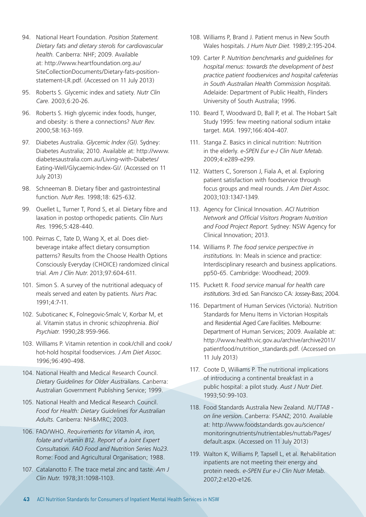- 94. National Heart Foundation. *Position Statement. Dietary fats and dietary sterols for cardiovascular health.* Canberra: NHF; 2009. Available at: http://www.heartfoundation.org.au/ SiteCollectionDocuments/Dietary-fats-positionstatement-LR.pdf. (Accessed on 11 July 2013)
- 95. Roberts S. Glycemic index and satiety. *Nutr Clin Care.* 2003;6:20-26.
- 96. Roberts S. High glycemic index foods, hunger, and obesity: is there a connections? *Nutr Rev*. 2000;58:163-169.
- 97. Diabetes Australia. *Glycemic Index (GI)*. Sydney: Diabetes Australia; 2010. Available at: http://www. diabetesaustralia.com.au/Living-with-Diabetes/ Eating-Well/Glycaemic-Index-GI/. (Accessed on 11 July 2013)
- 98. Schneeman B. Dietary fiber and gastrointestinal function. *Nutr Res.* 1998;18: 625-632.
- 99. Ouellet L, Turner T, Pond S, et al. Dietary fibre and laxation in postop orthopedic patients. *Clin Nurs Res.* 1996;5:428-440.
- 100. Peirnas C, Tate D, Wang X, et al. Does dietbeverage intake affect dietary consumption patterns? Results from the Choose Health Options Consciously Everyday (CHOICE) randomized clinical trial. *Am J Clin Nutr*. 2013;97:604-611.
- 101. Simon S. A survey of the nutritional adequacy of meals served and eaten by patients. *Nurs Prac.*  1991;4:7-11.
- 102. Suboticanec K, Folnegovic-Smalc V, Korbar M, et al. Vitamin status in chronic schizophrenia. *Biol Psychiatr*. 1990;28:959-966.
- 103. Williams P. Vitamin retention in cook/chill and cook/ hot-hold hospital foodservices. *J Am Diet Assoc.* 1996;96:490-498.
- 104. National Health and Medical Research Council. *Dietary Guidelines for Older Australians*. Canberra: Australian Government Publishing Service; 1999.
- 105. National Health and Medical Research Council. *Food for Health: Dietary Guidelines for Australian Adults.* Canberra: NH&MRC; 2003.
- 106. FAO/WHO. *Requirements for Vitamin A, iron, folate and vitamin B12. Report of a Joint Expert Consultation. FAO Food and Nutrition Series No23.* Rome: Food and Agricultural Organisation; 1988.
- 107. Catalanotto F. The trace metal zinc and taste. *Am J Clin Nutr.* 1978;31:1098-1103.
- 108. Williams P, Brand J. Patient menus in New South Wales hospitals. *J Hum Nutr Diet.* 1989;2:195-204.
- 109. Carter P. *Nutrition benchmarks and guidelines for hospital menus: towards the development of best practice patient foodservices and hospital cafeterias in South Australian Health Commission hospitals.*  Adelaide: Department of Public Health, Flinders University of South Australia; 1996.
- 110. Beard T, Woodward D, Ball P, et al. The Hobart Salt Study 1995: few meeting national sodium intake target. *MJA*. 1997;166:404-407.
- 111. Stanga Z. Basics in clinical nutrition: Nutrition in the elderly. *e-SPEN Eur e-J Clin Nutr Metab.*  2009;4:e289-e299.
- 112. Watters C, Sorenson J, Fiala A, et al. Exploring patient satisfaction with foodservice through focus groups and meal rounds. *J Am Diet Assoc.*  2003;103:1347-1349.
- 113. Agency for Clinical Innovation. *ACI Nutrition Network and Official Visitors Program Nutrition and Food Project Report.* Sydney: NSW Agency for Clinical Innovation; 2013.
- 114. Williams P. *The food service perspective in institutions.* In: Meals in science and practice: Interdisciplinary research and business applications. pp50-65. Cambridge: Woodhead; 2009.
- 115. Puckett R. F*ood service manual for health care institutions*. 3rd ed. San Francisco CA: Jossey-Bass; 2004.
- 116. Department of Human Services (Victoria). Nutrition Standards for Menu Items in Victorian Hospitals and Residential Aged Care Facilities. Melbourne: Department of Human Services; 2009. Available at: http://www.health.vic.gov.au/archive/archive2011/ patientfood/nutrition\_standards.pdf. (Accessed on 11 July 2013)
- 117. Coote D, Williams P. The nutritional implications of introducing a continental breakfast in a public hospital: a pilot study. *Aust J Nutr Diet*. 1993;50:99-103.
- 118. Food Standards Australia New Zealand. *NUTTAB on line version*. Canberra: FSANZ; 2010. Available at: http://www.foodstandards.gov.au/science/ monitoringnutrients/nutrientables/nuttab/Pages/ default.aspx. (Accessed on 11 July 2013)
- 119. Walton K, Williams P, Tapsell L, et al. Rehabilitation inpatients are not meeting their energy and protein needs. *e-SPEN Eur e-J Clin Nutr Metab*. 2007;2:e120-e126.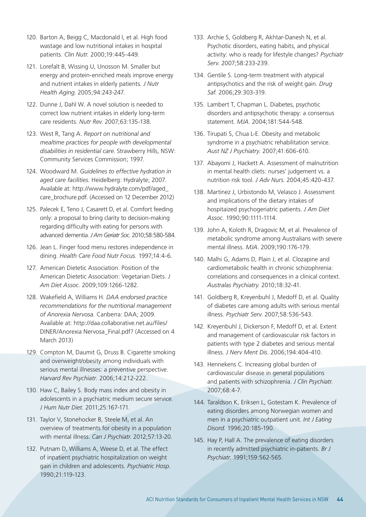- 120. Barton A, Beigg C, Macdonald I, et al. High food wastage and low nutritional intakes in hospital patients. *Clin Nutr.* 2000;19:445-449.
- 121. Lorefalt B, Wissing U, Unosson M. Smaller but energy and protein-enriched meals improve energy and nutrient intakes in elderly patients. *J Nutr Health Aging*. 2005;94:243-247.
- 122. Dunne J, Dahl W. A novel solution is needed to correct low nutrient intakes in elderly long-term care residents. *Nutr Rev*. 2007;63:135-138.
- 123. West R, Tang A. *Report on nutritional and mealtime practices for people with developmental disabilities in residential care*. Strawberry Hills, NSW: Community Services Commission; 1997.
- 124. Woodward M. *Guidelines to effective hydration in aged care facilities.* Heidelberg: Hydralyte; 2007. Available at: http://www.hydralyte.com/pdf/aged\_ care brochure.pdf. (Accessed on 12 December 2012)
- 125. Palecek E, Teno J, Casarett D, et al. Comfort feeding only: a proposal to bring clarity to decision-making regarding difficulty with eating for persons with advanced dementia. *J Am Geriatr Soc.* 2010;58:580-584.
- 126. Jean L. Finger food menu restores independence in dining. *Health Care Food Nutr Focus.* 1997;14:4-6.
- 127. American Dietetic Association. Position of the American Dietetic Association: Vegetarian Diets. *J Am Diet Assoc.* 2009;109:1266-1282.
- 128. Wakefield A, Williams H. *DAA endorsed practice recommendations for the nutritional management of Anorexia Nervosa.* Canberra: DAA; 2009. Available at: http://daa.collaborative.net.au/files/ DINER/Anorexia Nervosa\_Final.pdf? (Accessed on 4 March 2013)
- 129. Compton M, Daumit G, Druss B. Cigarette smoking and overweight/obesity among individuals with serious mental illnesses: a preventive perspective. *Harvard Rev Psychiatr.* 2006;14:212-222.
- 130. Haw C, Bailey S. Body mass index and obesity in adolescents in a psychiatric medium secure service. *J Hum Nutr Diet.* 2011;25:167-171.
- 131. Taylor V, Stonehocker B, Steele M, et al. An overview of treatments for obesity in a population with mental illness. *Can J Psychiatr*. 2012;57:13-20.
- 132. Putnam D, Williams A, Weese D, et al. The effect of inpatient psychiatric hospitalization on weight gain in children and adolescents. *Psychiatric Hosp.*  1990;21:119-123.
- 133. Archie S, Goldberg R, Akhtar-Danesh N, et al. Psychotic disorders, eating habits, and physical activity: who is ready for lifestyle changes? *Psychiatr Serv*. 2007;58:233-239.
- 134. Gentile S. Long-term treatment with atypical antipsychotics and the risk of weight gain. *Drug Saf.* 2006;29:303-319.
- 135. Lambert T, Chapman L. Diabetes, psychotic disorders and antipsychotic therapy: a consensus statement. *MJA*. 2004;181:544-548.
- 136. Tirupati S, Chua L-E. Obesity and metabolic syndrome in a psychiatric rehabilitation service. *Aust NZ J Psychiatry.* 2007;41:606-610.
- 137. Abayomi J, Hackett A. Assessment of malnutrition in mental health cliets: nurses' judgement vs. a nutrition risk tool. *J Adv Nurs*. 2004;45:420-437.
- 138. Martinez J, Urbistondo M, Velasco J. Assessment and implications of the dietary intakes of hospitaized psychogeriatric patients. *J Am Diet Assoc.* 1990;90:1111-1114.
- 139. John A, Koloth R, Dragovic M, et al. Prevalence of metabolic syndrome among Australians with severe mental illness. *MJA*. 2009;190:176-179.
- 140. Malhi G, Adams D, Plain J, et al. Clozapine and cardiometabolic health in chronic schizophrenia: correlations and consequences in a clinical context. *Australas Psychiatry*. 2010;18:32-41.
- 141. Goldberg R, Kreyenbuhl J, Medoff D, et al. Quality of diabetes care among adults with serious mental illness. *Psychiatr Serv*. 2007;58:536-543.
- 142. Kreyenbuhl J, Dickerson F, Medoff D, et al. Extent and management of cardiovascular risk factors in patients with type 2 diabetes and serious mental illness. *J Nerv Ment Dis*. 2006;194:404-410.
- 143. Hennekens C. Increasing global burden of cardiovascular disease in general populations and patients with schizophrenia. *J Clin Psychiatr.*  2007;68:4-7.
- 144. Taraldson K, Eriksen L, Gotestam K. Prevalence of eating disorders among Norwegian women and men in a psychiatric outpatient unit. *Int J Eating Disord.* 1996;20:185-190.
- 145. Hay P, Hall A. The prevalence of eating disorders in recently admitted psychiatric in-patients. *Br J Psychiatr.* 1991;159:562-565.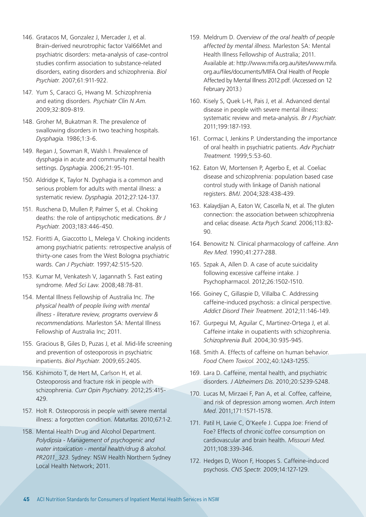- 146. Gratacos M, Gonzalez J, Mercader J, et al. Brain-derived neurotrophic factor Val66Met and psychiatric disorders: meta-analysis of case-control studies confirm association to substance-related disorders, eating disorders and schizophrenia. *Biol Psychiatr.* 2007;61:911-922.
- 147. Yum S, Caracci G, Hwang M. Schizophrenia and eating disorders. *Psychiatr Clin N Am*. 2009;32:809-819.
- 148. Groher M, Bukatman R. The prevalence of swallowing disorders in two teaching hospitals. *Dysphagia.* 1986;1:3-6.
- 149. Regan J, Sowman R, Walsh I. Prevalence of dysphagia in acute and community mental health settings. *Dysphagia.* 2006;21:95-101.
- 150. Aldridge K, Taylor N. Dyphagia is a common and serious problem for adults with mental illness: a systematic review. *Dysphagia*. 2012;27:124-137.
- 151. Ruschena D, Mullen P, Palmer S, et al. Choking deaths: the role of antipsychotic medications. *Br J Psychiatr.* 2003;183:446-450.
- 152. Fioritti A, Giaccotto L, Melega V. Choking incidents among psychiatric patients: retrospective analysis of thirty-one cases from the West Bologna psychiatric wards. *Can J Psychiatr.* 1997;42:515-520.
- 153. Kumar M, Venkatesh V, Jagannath S. Fast eating syndrome. *Med Sci Law.* 2008;48:78-81.
- 154. Mental Illness Fellowship of Australia Inc. *The physical health of people living with mental illness - literature review, programs overview & recommendations.* Marleston SA: Mental Illness Fellowship of Australia Inc; 2011.
- 155. Gracious B, Giles D, Puzas J, et al. Mid-life screening and prevention of osteoporosis in psychiatric inpatients. *Biol Psychiatr.* 2009;65:240S.
- 156. Kishimoto T, de Hert M, Carlson H, et al. Osteoporosis and fracture risk in people with schizophrenia. *Curr Opin Psychiatry.* 2012;25:415- 429.
- 157. Holt R. Osteoporosis in people with severe mental illness: a forgotten condition. *Maturitas.* 2010;67:1-2.
- 158. Mental Health Drug and Alcohol Department. *Polydipsia - Management of psychogenic and water intoxication - mental health/drug & alcohol. PR2011\_323.* Sydney: NSW Health Northern Sydney Local Health Network; 2011.
- 159. Meldrum D. *Overview of the oral health of people affected by mental illness*. Marleston SA: Mental Health Illness Fellowship of Australia; 2011. Available at: http://www.mifa.org.au/sites/www.mifa. org.au/files/documents/MIFA Oral Health of People Affected by Mental Illness 2012.pdf. (Accessed on 12 February 2013.)
- 160. Kisely S, Quek L-H, Pais J, et al. Advanced dental disease in people with severe mental illness: systematic review and meta-analysis. *Br J Psychiatr*. 2011;199:187-193.
- 161. Cormac I, Jenkins P. Understanding the importance of oral health in psychiatric patients. *Adv Psychiatr Treatment.* 1999;5:53-60.
- 162. Eaton W, Mortensen P, Agerbo E, et al. Coeliac disease and schizophrenia: population based case control study with linkage of Danish national registers. *BMJ*. 2004;328:438-439.
- 163. Kalaydjian A, Eaton W, Cascella N, et al. The gluten connection: the association between schizophrenia and celiac disease. *Acta Psych Scand*. 2006;113:82- 90.
- 164. Benowitz N. Clinical pharmacology of caffeine. *Ann Rev Med*. 1990;41:277-288.
- 165. Szpak A, Allen D. A case of acute suicidality following excessive caffeine intake. J Psychopharmacol. 2012;26:1502-1510.
- 166. Goiney C, Gillaspie D, Villalba C. Addressing caffeine-induced psychosis: a clinical perspective. *Addict Disord Their Treatment*. 2012;11:146-149.
- 167. Gurpegui M, Aguilar C, Martinez-Ortega J, et al. Caffeine intake in oupatients with schizophrenia. *Schizophrenia Bull.* 2004;30:935-945.
- 168. Smith A. Effects of caffeine on human behavior. *Food Chem Toxicol*. 2002;40:1243-1255.
- 169. Lara D. Caffeine, mental health, and psychiatric disorders. *J Alzheimers Dis*. 2010;20:S239-S248.
- 170. Lucas M, Mirzaei F, Pan A, et al. Coffee, caffeine, and risk of depression among women. *Arch Intern Med*. 2011;171:1571-1578.
- 171. Patil H, Lavie C, O'Keefe J. Cuppa Joe: Friend of Foe? Effects of chronic coffee consumption on cardiovascular and brain health. *Missouri Med.*  2011;108:339-346.
- 172. Hedges D, Woon F, Hoopes S. Caffeine-induced psychosis. *CNS Spectr.* 2009;14:127-129.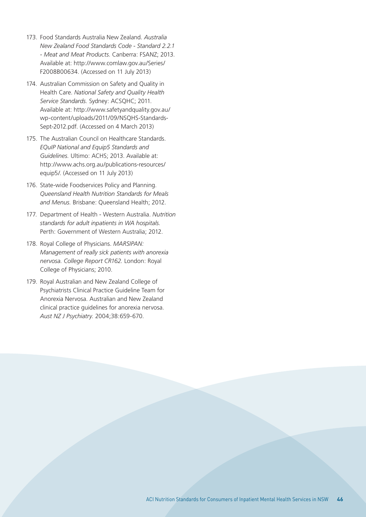- 173. Food Standards Australia New Zealand. *Australia New Zealand Food Standards Code - Standard 2.2.1 - Meat and Meat Products*. Canberra: FSANZ; 2013. Available at: http://www.comlaw.gov.au/Series/ F2008B00634. (Accessed on 11 July 2013)
- 174. Australian Commission on Safety and Quality in Health Care. *National Safety and Quality Health Service Standards.* Sydney: ACSQHC; 2011. Available at: http://www.safetyandquality.gov.au/ wp-content/uploads/2011/09/NSQHS-Standards-Sept-2012.pdf. (Accessed on 4 March 2013)
- 175. The Australian Council on Healthcare Standards. *EQuIP National and Equip5 Standards and Guidelines.* Ultimo: ACHS; 2013. Available at: http://www.achs.org.au/publications-resources/ equip5/. (Accessed on 11 July 2013)
- 176. State-wide Foodservices Policy and Planning. *Queensland Health Nutrition Standards for Meals and Menus.* Brisbane: Queensland Health; 2012.
- 177. Department of Health Western Australia. *Nutrition standards for adult inpatients in WA hospitals.*  Perth: Government of Western Australia; 2012.
- 178. Royal College of Physicians. *MARSIPAN: Management of really sick patients with anorexia nervosa. College Report CR162.* London: Royal College of Physicians; 2010.
- 179. Royal Australian and New Zealand College of Psychiatrists Clinical Practice Guideline Team for Anorexia Nervosa. Australian and New Zealand clinical practice guidelines for anorexia nervosa. *Aust NZ J Psychiatry.* 2004;38:659-670.